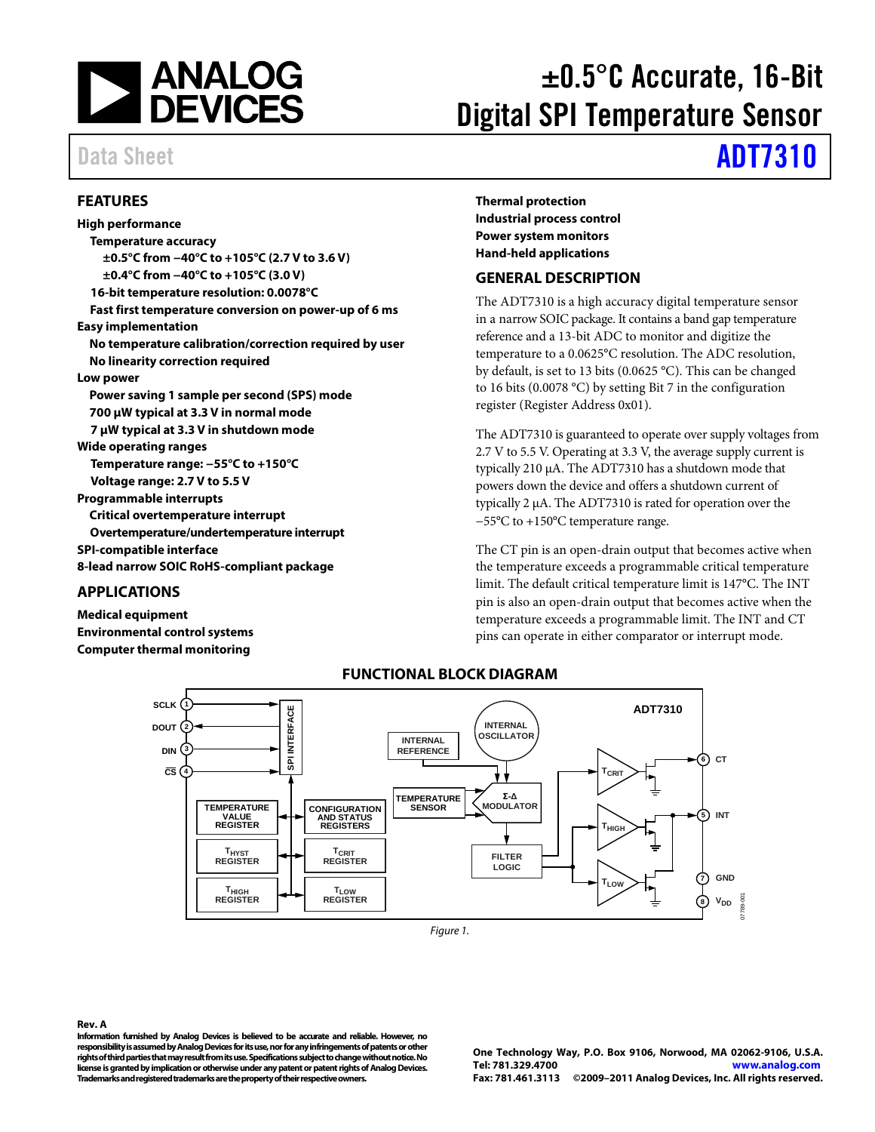

# ±0.5°C Accurate, 16-Bit Digital SPI Temperature Sensor

#### <span id="page-0-0"></span>**FEATURES**

**High performance Temperature accuracy ±0.5°C from −40°C to +105°C (2.7 V to 3.6 V) ±0.4°C from −40°C to +105°C (3.0 V) 16-bit temperature resolution: 0.0078°C Fast first temperature conversion on power-up of 6 ms Easy implementation No temperature calibration/correction required by user No linearity correction required Low power Power saving 1 sample per second (SPS) mode 700 µW typical at 3.3 V in normal mode 7 µW typical at 3.3 V in shutdown mode Wide operating ranges Temperature range: −55°C to +150°C Voltage range: 2.7 V to 5.5 V Programmable interrupts Critical overtemperature interrupt Overtemperature/undertemperature interrupt SPI-compatible interface 8-lead narrow SOIC RoHS-compliant package**

#### <span id="page-0-1"></span>**APPLICATIONS**

<span id="page-0-3"></span>**Medical equipment Environmental control systems Computer thermal monitoring**

**Thermal protection Industrial process control Power system monitors Hand-held applications**

#### <span id="page-0-2"></span>**GENERAL DESCRIPTION**

The ADT7310 is a high accuracy digital temperature sensor in a narrow SOIC package. It contains a band gap temperature reference and a 13-bit ADC to monitor and digitize the temperature to a 0.0625°C resolution. The ADC resolution, by default, is set to 13 bits (0.0625 °C). This can be changed to 16 bits (0.0078 °C) by setting Bit 7 in the configuration register (Register Address 0x01).

The ADT7310 is guaranteed to operate over supply voltages from 2.7 V to 5.5 V. Operating at 3.3 V, the average supply current is typically 210 μA. The ADT7310 has a shutdown mode that powers down the device and offers a shutdown current of typically 2 μA. The ADT7310 is rated for operation over the −55°C to +150°C temperature range.

The CT pin is an open-drain output that becomes active when the temperature exceeds a programmable critical temperature limit. The default critical temperature limit is 147°C. The INT pin is also an open-drain output that becomes active when the temperature exceeds a programmable limit. The INT and CT pins can operate in either comparator or interrupt mode.



#### **FUNCTIONAL BLOCK DIAGRAM**

*Figure 1.*

#### **Rev. A**

**Information furnished by Analog Devices is believed to be accurate and reliable. However, no responsibility is assumed by Analog Devices for its use, nor for any infringements of patents or other rights of third parties that may result from its use. Specifications subject tochange without notice. No license is granted by implication or otherwise under any patent or patent rights of Analog Devices. Trademarks and registered trademarks are the property of their respective owners.**

**One Technology Way, P.O. Box 9106, Norwood, MA 02062-9106, U.S.A. Tel: 781.329.4700 [www.analog.com](http://www.analog.com/) Fax: 781.461.3113 ©2009–2011 Analog Devices, Inc. All rights reserved.**

# Data Sheet **[ADT7310](http://www.analog.com/adt7310)**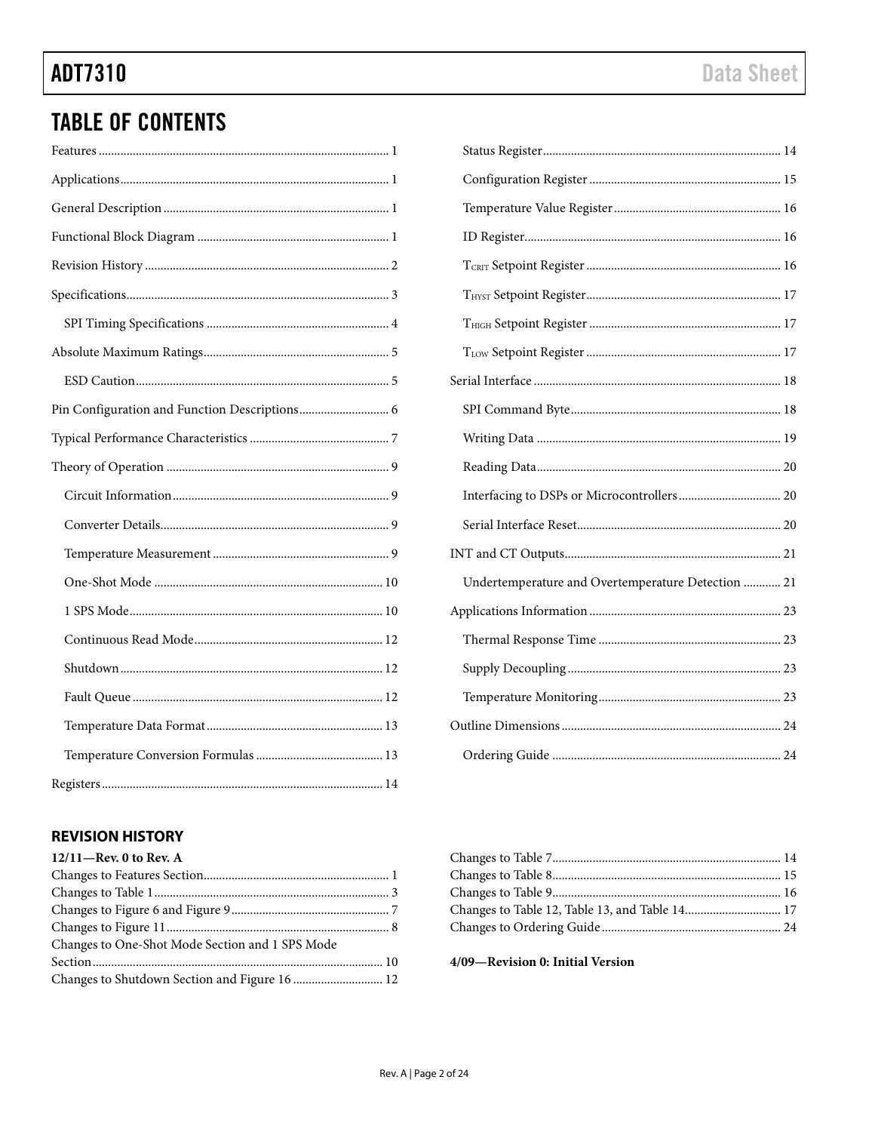$\blacksquare$ 

# **TABLE OF CONTENTS**

| Undertemperature and Overtemperature Detection  21 |
|----------------------------------------------------|
|                                                    |
|                                                    |
|                                                    |

### <span id="page-1-0"></span>**REVISION HISTORY**

| $12/11$ —Rev. 0 to Rev. A                       |  |
|-------------------------------------------------|--|
|                                                 |  |
|                                                 |  |
|                                                 |  |
|                                                 |  |
| Changes to One-Shot Mode Section and 1 SPS Mode |  |
|                                                 |  |
| Changes to Shutdown Section and Figure 16  12   |  |
|                                                 |  |

4/09-Revision 0: Initial Version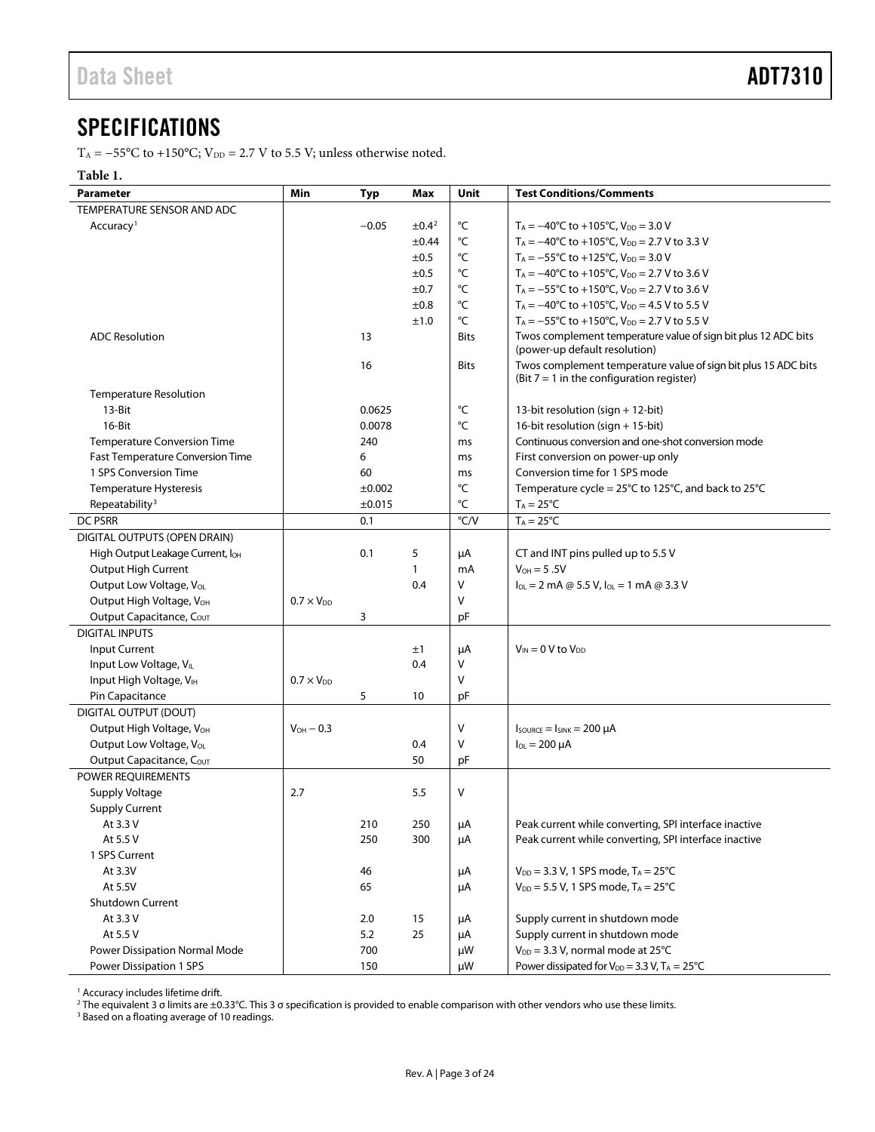## <span id="page-2-0"></span>**SPECIFICATIONS**

T<sub>A</sub> = −55°C to +150°C; V<sub>DD</sub> = 2.7 V to 5.5 V; unless otherwise noted.

#### **Table 1.**

| <b>Parameter</b>                             | Min                 | <b>Typ</b> | Max                    | Unit          | <b>Test Conditions/Comments</b>                                                                               |
|----------------------------------------------|---------------------|------------|------------------------|---------------|---------------------------------------------------------------------------------------------------------------|
| TEMPERATURE SENSOR AND ADC                   |                     |            |                        |               |                                                                                                               |
| Accuracy <sup>1</sup>                        |                     | $-0.05$    | $\pm$ 0.4 <sup>2</sup> | °C            | $T_A = -40^{\circ}C$ to +105 $^{\circ}C$ , $V_{DD} = 3.0$ V                                                   |
|                                              |                     |            | ±0.44                  | °C            | $T_A = -40^{\circ}$ C to +105 $^{\circ}$ C, V <sub>DD</sub> = 2.7 V to 3.3 V                                  |
|                                              |                     |            | ±0.5                   | °C            | $T_A = -55^{\circ}$ C to +125 $^{\circ}$ C, V <sub>DD</sub> = 3.0 V                                           |
|                                              |                     |            | ±0.5                   | °C            | $T_A = -40^{\circ}$ C to +105 $^{\circ}$ C, V <sub>DD</sub> = 2.7 V to 3.6 V                                  |
|                                              |                     |            | ±0.7                   | °C            | $T_A = -55^{\circ}$ C to +150 $^{\circ}$ C, V <sub>DD</sub> = 2.7 V to 3.6 V                                  |
|                                              |                     |            | ±0.8                   | °C            | $T_A = -40^{\circ}C$ to +105°C, $V_{DD} = 4.5$ V to 5.5 V                                                     |
|                                              |                     |            | ±1.0                   | °C            | T <sub>A</sub> = $-55^{\circ}$ C to +150 $^{\circ}$ C, V <sub>DD</sub> = 2.7 V to 5.5 V                       |
| <b>ADC Resolution</b>                        |                     | 13         |                        | <b>Bits</b>   | Twos complement temperature value of sign bit plus 12 ADC bits<br>(power-up default resolution)               |
|                                              |                     | 16         |                        | <b>Bits</b>   | Twos complement temperature value of sign bit plus 15 ADC bits<br>(Bit $7 = 1$ in the configuration register) |
| <b>Temperature Resolution</b>                |                     |            |                        |               |                                                                                                               |
| 13-Bit                                       |                     | 0.0625     |                        | °C            | 13-bit resolution (sign + 12-bit)                                                                             |
| 16-Bit                                       |                     | 0.0078     |                        | °C            | 16-bit resolution (sign + 15-bit)                                                                             |
| <b>Temperature Conversion Time</b>           |                     | 240        |                        | ms            | Continuous conversion and one-shot conversion mode                                                            |
| <b>Fast Temperature Conversion Time</b>      |                     | 6          |                        | ms            | First conversion on power-up only                                                                             |
| 1 SPS Conversion Time                        |                     | 60         |                        | ms            | Conversion time for 1 SPS mode                                                                                |
| Temperature Hysteresis                       |                     | ±0.002     |                        | °C            | Temperature cycle = 25°C to 125°C, and back to 25°C                                                           |
| Repeatability <sup>3</sup>                   |                     | ±0.015     |                        | °C            | $T_A = 25^{\circ}C$                                                                                           |
| <b>DC PSRR</b>                               |                     | 0.1        |                        | $\degree$ C/V | $T_A = 25^{\circ}C$                                                                                           |
| DIGITAL OUTPUTS (OPEN DRAIN)                 |                     |            |                        |               |                                                                                                               |
| High Output Leakage Current, lo <sub>H</sub> |                     | 0.1        | 5                      | μA            | CT and INT pins pulled up to 5.5 V                                                                            |
| <b>Output High Current</b>                   |                     |            | $\mathbf{1}$           | mA            | $V_{OH} = 5.5V$                                                                                               |
| Output Low Voltage, Vol.                     |                     |            | 0.4                    | V             | $I_{OL} = 2$ mA @ 5.5 V, $I_{OL} = 1$ mA @ 3.3 V                                                              |
| Output High Voltage, VOH                     | $0.7 \times V_{DD}$ |            |                        | V             |                                                                                                               |
| Output Capacitance, COUT                     |                     | 3          |                        | pF            |                                                                                                               |
| <b>DIGITAL INPUTS</b>                        |                     |            |                        |               |                                                                                                               |
| <b>Input Current</b>                         |                     |            | ±1                     | μA            | $V_{IN} = 0$ V to $V_{DD}$                                                                                    |
| Input Low Voltage, VIL                       |                     |            | 0.4                    | V             |                                                                                                               |
| Input High Voltage, VIH                      | $0.7 \times V_{DD}$ |            |                        | V             |                                                                                                               |
| Pin Capacitance                              |                     | 5          | 10                     | pF            |                                                                                                               |
| <b>DIGITAL OUTPUT (DOUT)</b>                 |                     |            |                        |               |                                                                                                               |
| Output High Voltage, V <sub>OH</sub>         | $V_{OH} - 0.3$      |            |                        | V             | $I_{\text{SOWRCE}} = I_{\text{SINK}} = 200 \mu A$                                                             |
| Output Low Voltage, Vol.                     |                     |            | 0.4                    | v             | $I_{OL} = 200 \mu A$                                                                                          |
| Output Capacitance, Cour                     |                     |            | 50                     | pF            |                                                                                                               |
| POWER REQUIREMENTS                           |                     |            |                        |               |                                                                                                               |
| Supply Voltage                               | 2.7                 |            | 5.5                    | V             |                                                                                                               |
| <b>Supply Current</b>                        |                     |            |                        |               |                                                                                                               |
| At 3.3 V                                     |                     | 210        | 250                    | $\mu A$       | Peak current while converting, SPI interface inactive                                                         |
| At 5.5 V                                     |                     | 250        | 300                    | μA            | Peak current while converting, SPI interface inactive                                                         |
| 1 SPS Current                                |                     |            |                        |               |                                                                                                               |
| At 3.3V                                      |                     | 46         |                        | μA            | $V_{DD} = 3.3 V$ , 1 SPS mode, T <sub>A</sub> = 25°C                                                          |
| At 5.5V                                      |                     | 65         |                        | μA            | $V_{DD} = 5.5 V$ , 1 SPS mode, $T_A = 25^{\circ}C$                                                            |
| Shutdown Current                             |                     |            |                        |               |                                                                                                               |
| At 3.3 V                                     |                     | 2.0        | 15                     | μA            | Supply current in shutdown mode                                                                               |
| At 5.5 V                                     |                     | 5.2        | 25                     | μA            | Supply current in shutdown mode                                                                               |
| Power Dissipation Normal Mode                |                     | 700        |                        | μW            | $V_{DD}$ = 3.3 V, normal mode at 25°C                                                                         |
| Power Dissipation 1 SPS                      |                     | 150        |                        | μW            | Power dissipated for $V_{DD} = 3.3$ V, $T_A = 25^{\circ}C$                                                    |

<sup>1</sup> Accuracy includes lifetime drift.

 $^2$ The equivalent 3 σ limits are ±0.33°C. This 3 σ specification is provided to enable comparison with other vendors who use these limits.

<sup>3</sup> Based on a floating average of 10 readings.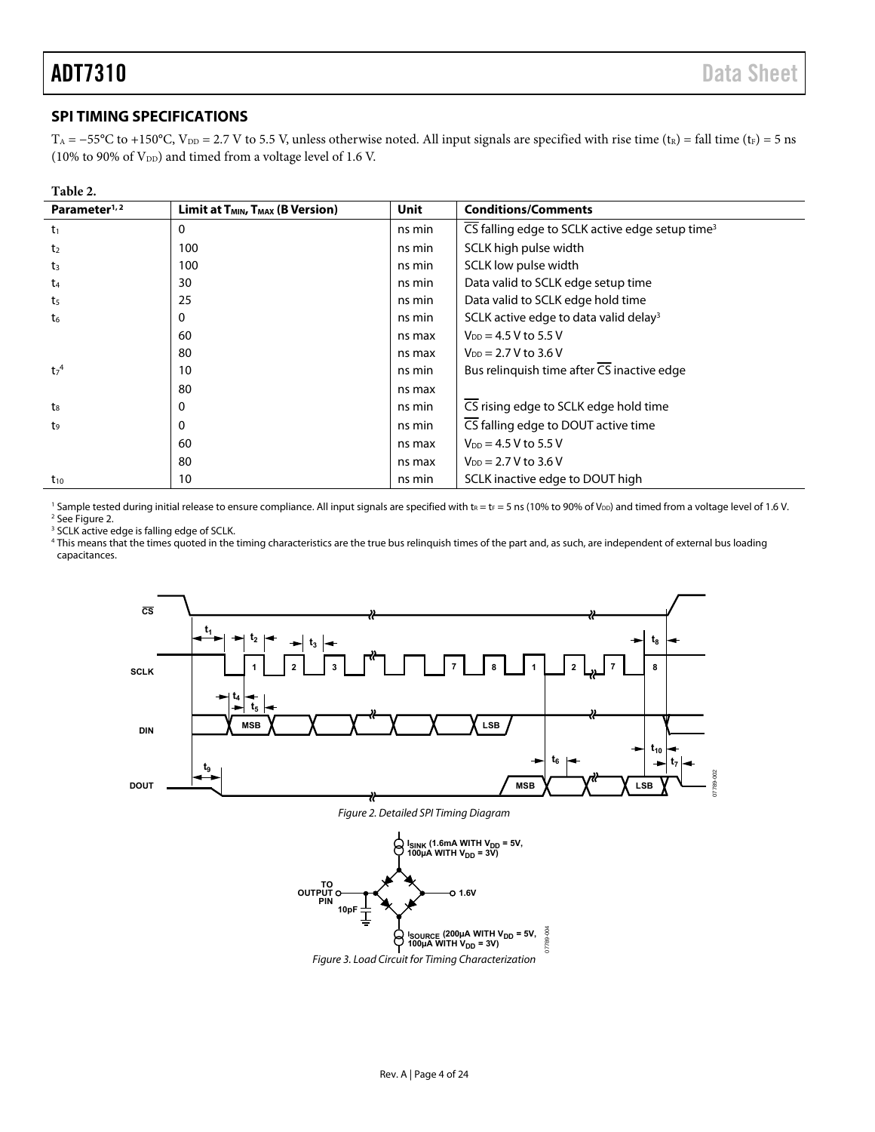#### <span id="page-3-0"></span>**SPI TIMING SPECIFICATIONS**

T<sub>A</sub> = −55°C to +150°C, V<sub>DD</sub> = 2.7 V to 5.5 V, unless otherwise noted. All input signals are specified with rise time (t<sub>R</sub>) = fall time (t<sub>F</sub>) = 5 ns (10% to 90% of  $V_{DD}$ ) and timed from a voltage level of 1.6 V.

| anı<br>١. |  |
|-----------|--|
|-----------|--|

| Parameter <sup>1,2</sup>    | <b>Limit at T<sub>MIN</sub>, T<sub>MAX</sub> (B Version)</b> | Unit   | <b>Conditions/Comments</b>                                  |
|-----------------------------|--------------------------------------------------------------|--------|-------------------------------------------------------------|
| $t_1$                       | 0                                                            | ns min | CS falling edge to SCLK active edge setup time <sup>3</sup> |
| t <sub>2</sub>              | 100                                                          | ns min | SCLK high pulse width                                       |
| t3                          | 100                                                          | ns min | SCLK low pulse width                                        |
| t <sub>4</sub>              | 30                                                           | ns min | Data valid to SCLK edge setup time                          |
| t <sub>5</sub>              | 25                                                           | ns min | Data valid to SCLK edge hold time                           |
| t <sub>6</sub>              | 0                                                            | ns min | SCLK active edge to data valid delay <sup>3</sup>           |
|                             | 60                                                           | ns max | $V_{DD} = 4.5 V$ to 5.5 V                                   |
|                             | 80                                                           | ns max | $V_{DD} = 2.7 V to 3.6 V$                                   |
| t <sub>7</sub> <sup>4</sup> | 10                                                           | ns min | Bus relinguish time after CS inactive edge                  |
|                             | 80                                                           | ns max |                                                             |
| $t_{8}$                     | 0                                                            | ns min | CS rising edge to SCLK edge hold time                       |
| t,                          | 0                                                            | ns min | CS falling edge to DOUT active time                         |
|                             | 60                                                           | ns max | $V_{DD} = 4.5 V$ to 5.5 V                                   |
|                             | 80                                                           | ns max | $V_{DD} = 2.7 V to 3.6 V$                                   |
| $t_{10}$                    | 10                                                           | ns min | SCLK inactive edge to DOUT high                             |

<sup>1</sup> Sample tested during initial release to ensure compliance. All input signals are specified with t<sub>R</sub> = t<sub>F</sub> = 5 ns (10% to 90% of V<sub>DD</sub>) and timed from a voltage level of 1.6 V.<br><sup>2</sup> See Figure 2 <sup>2</sup> See Figure 2.

<sup>3</sup> SCLK active edge is falling edge of SCLK.

4 This means that the times quoted in the timing characteristics are the true bus relinquish times of the part and, as such, are independent of external bus loading capacitances.

<span id="page-3-5"></span>

<span id="page-3-4"></span>Figure 2. Detailed SPI Timing Diagram

<span id="page-3-3"></span><span id="page-3-2"></span><span id="page-3-1"></span>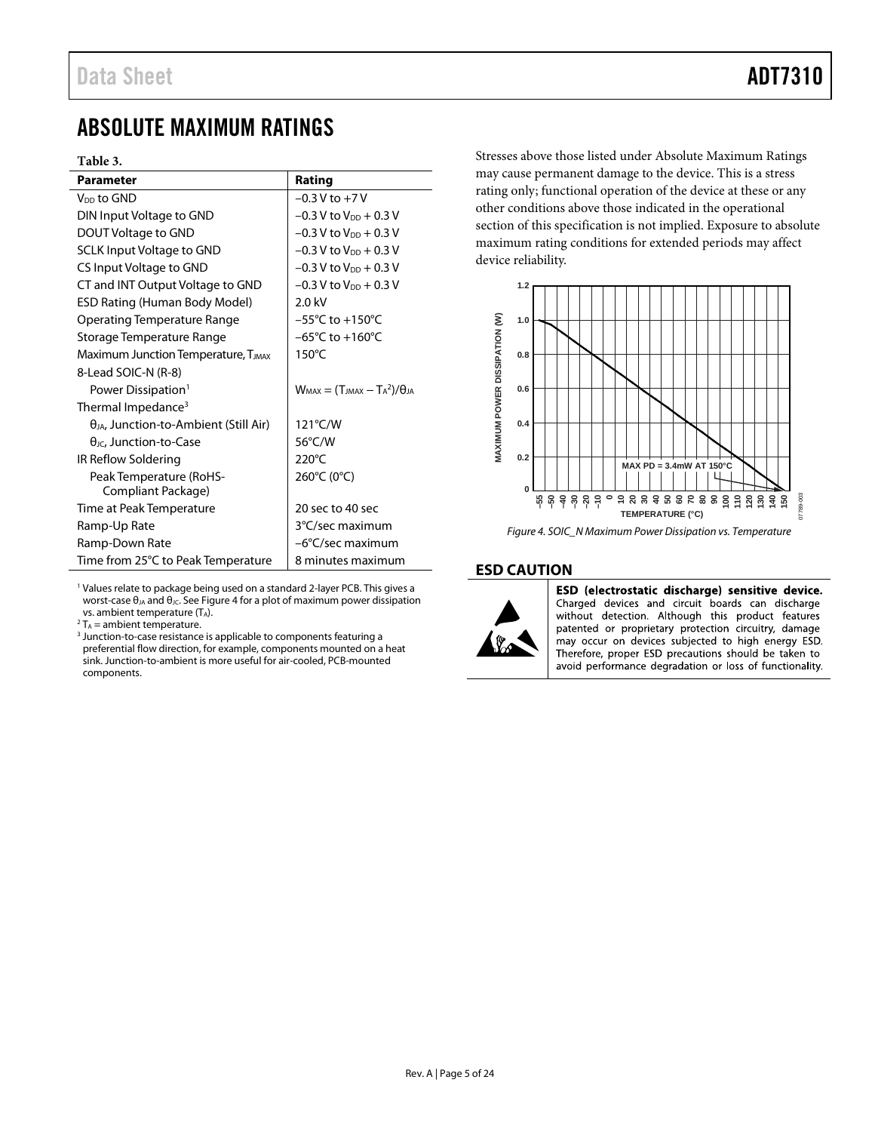### <span id="page-4-0"></span>ABSOLUTE MAXIMUM RATINGS

#### **Table 3.**

| <b>Parameter</b>                                | Rating                                    |
|-------------------------------------------------|-------------------------------------------|
| V <sub>DD</sub> to GND                          | $-0.3 V$ to $+7 V$                        |
| DIN Input Voltage to GND                        | $-0.3$ V to $V_{DD}$ + 0.3 V              |
| DOUT Voltage to GND                             | $-0.3$ V to $V_{DD}$ + 0.3 V              |
| <b>SCLK Input Voltage to GND</b>                | $-0.3$ V to $V_{DD}$ + 0.3 V              |
| CS Input Voltage to GND                         | $-0.3$ V to $V_{DD}$ + 0.3 V              |
| CT and INT Output Voltage to GND                | $-0.3$ V to V <sub>DD</sub> + 0.3 V       |
| ESD Rating (Human Body Model)                   | $2.0$ kV                                  |
| <b>Operating Temperature Range</b>              | $-55^{\circ}$ C to $+150^{\circ}$ C       |
| Storage Temperature Range                       | $-65^{\circ}$ C to $+160^{\circ}$ C       |
| Maximum Junction Temperature, T <sub>JMAX</sub> | $150^{\circ}$ C                           |
| 8-Lead SOIC-N (R-8)                             |                                           |
| Power Dissipation <sup>1</sup>                  | $W_{MAX} = (T_{MAX} - T_A^2)/\theta_{IA}$ |
| Thermal Impedance <sup>3</sup>                  |                                           |
| $\theta_{JA}$ , Junction-to-Ambient (Still Air) | 121°C/W                                   |
| $\theta_{\text{JC}}$ , Junction-to-Case         | 56°C/W                                    |
| IR Reflow Soldering                             | $220^{\circ}$ C                           |
| Peak Temperature (RoHS-<br>Compliant Package)   | 260°C (0°C)                               |
| Time at Peak Temperature                        | 20 sec to 40 sec                          |
| Ramp-Up Rate                                    | 3°C/sec maximum                           |
|                                                 |                                           |
| Ramp-Down Rate                                  | $-6^{\circ}$ C/sec maximum                |
| Time from 25°C to Peak Temperature              | 8 minutes maximum                         |

<sup>1</sup> Values relate to package being used on a standard 2-layer PCB. This gives a worst-case θ<sub>JA</sub> and θ<sub>JC</sub>. See [Figure 4](#page-4-2) for a plot of maximum power dissipation vs. ambient temperature (TA).

 $2 T_A =$  ambient temperature.

<sup>3</sup> Junction-to-case resistance is applicable to components featuring a preferential flow direction, for example, components mounted on a heat sink. Junction-to-ambient is more useful for air-cooled, PCB-mounted components.

Stresses above those listed under Absolute Maximum Ratings may cause permanent damage to the device. This is a stress rating only; functional operation of the device at these or any other conditions above those indicated in the operational section of this specification is not implied. Exposure to absolute maximum rating conditions for extended periods may affect device reliability.



#### <span id="page-4-2"></span>*Figure 4. SOIC\_N Maximum Power Dissipation vs. Temperature*

#### <span id="page-4-1"></span>**ESD CAUTION**



ESD (electrostatic discharge) sensitive device. Charged devices and circuit boards can discharge without detection. Although this product features patented or proprietary protection circuitry, damage may occur on devices subjected to high energy ESD. Therefore, proper ESD precautions should be taken to avoid performance degradation or loss of functionality.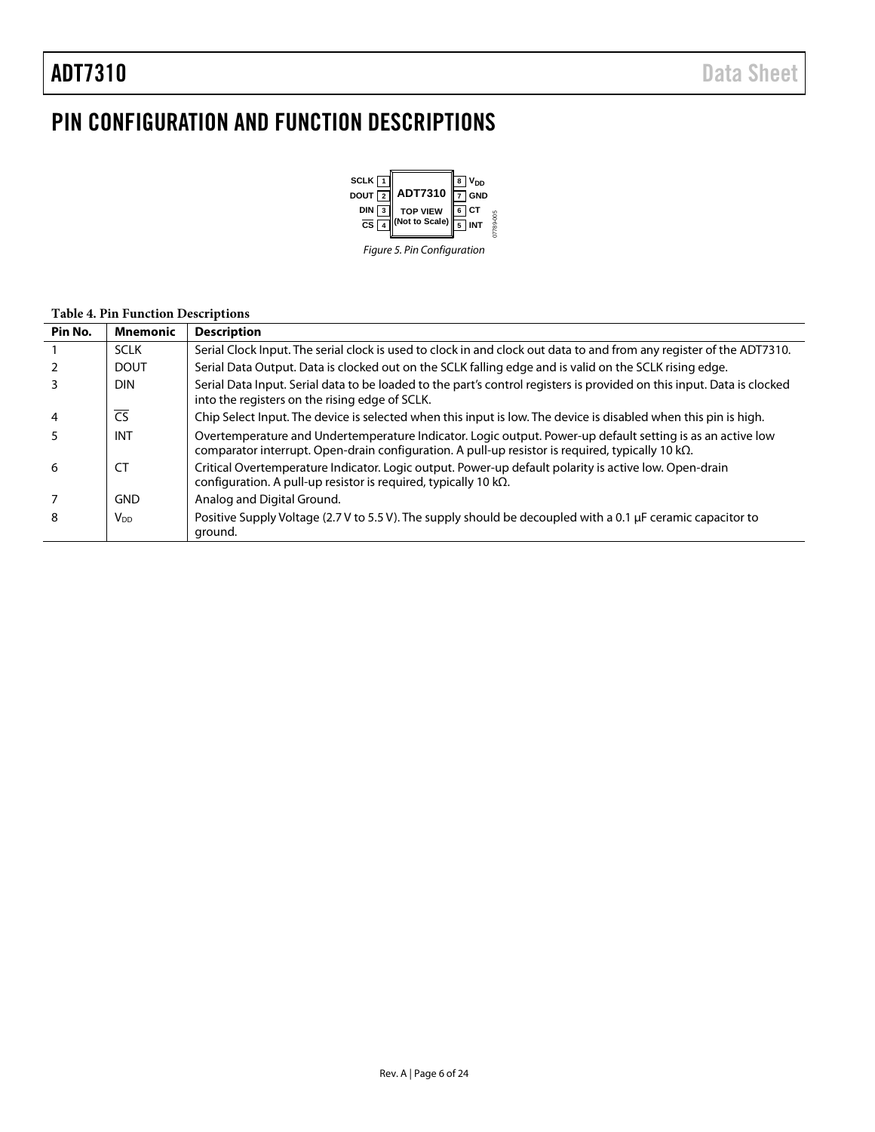# <span id="page-5-0"></span>PIN CONFIGURATION AND FUNCTION DESCRIPTIONS



#### **Table 4. Pin Function Descriptions**

<span id="page-5-4"></span><span id="page-5-3"></span><span id="page-5-2"></span><span id="page-5-1"></span>

| Pin No.        | <b>Mnemonic</b> | <b>Description</b>                                                                                                                                                                                                     |  |  |  |
|----------------|-----------------|------------------------------------------------------------------------------------------------------------------------------------------------------------------------------------------------------------------------|--|--|--|
|                | <b>SCLK</b>     | Serial Clock Input. The serial clock is used to clock in and clock out data to and from any register of the ADT7310.                                                                                                   |  |  |  |
|                | <b>DOUT</b>     | Serial Data Output. Data is clocked out on the SCLK falling edge and is valid on the SCLK rising edge.                                                                                                                 |  |  |  |
| 3              | <b>DIN</b>      | Serial Data Input. Serial data to be loaded to the part's control registers is provided on this input. Data is clocked<br>into the registers on the rising edge of SCLK.                                               |  |  |  |
| $\overline{4}$ | CS              | Chip Select Input. The device is selected when this input is low. The device is disabled when this pin is high.                                                                                                        |  |  |  |
| 5              | <b>INT</b>      | Overtemperature and Undertemperature Indicator. Logic output. Power-up default setting is as an active low<br>comparator interrupt. Open-drain configuration. A pull-up resistor is required, typically 10 $k\Omega$ . |  |  |  |
| 6              | CT              | Critical Overtemperature Indicator. Logic output. Power-up default polarity is active low. Open-drain<br>configuration. A pull-up resistor is required, typically 10 k $\Omega$ .                                      |  |  |  |
|                | <b>GND</b>      | Analog and Digital Ground.                                                                                                                                                                                             |  |  |  |
| 8              | V <sub>DD</sub> | Positive Supply Voltage (2.7 V to 5.5 V). The supply should be decoupled with a 0.1 µF ceramic capacitor to<br>ground.                                                                                                 |  |  |  |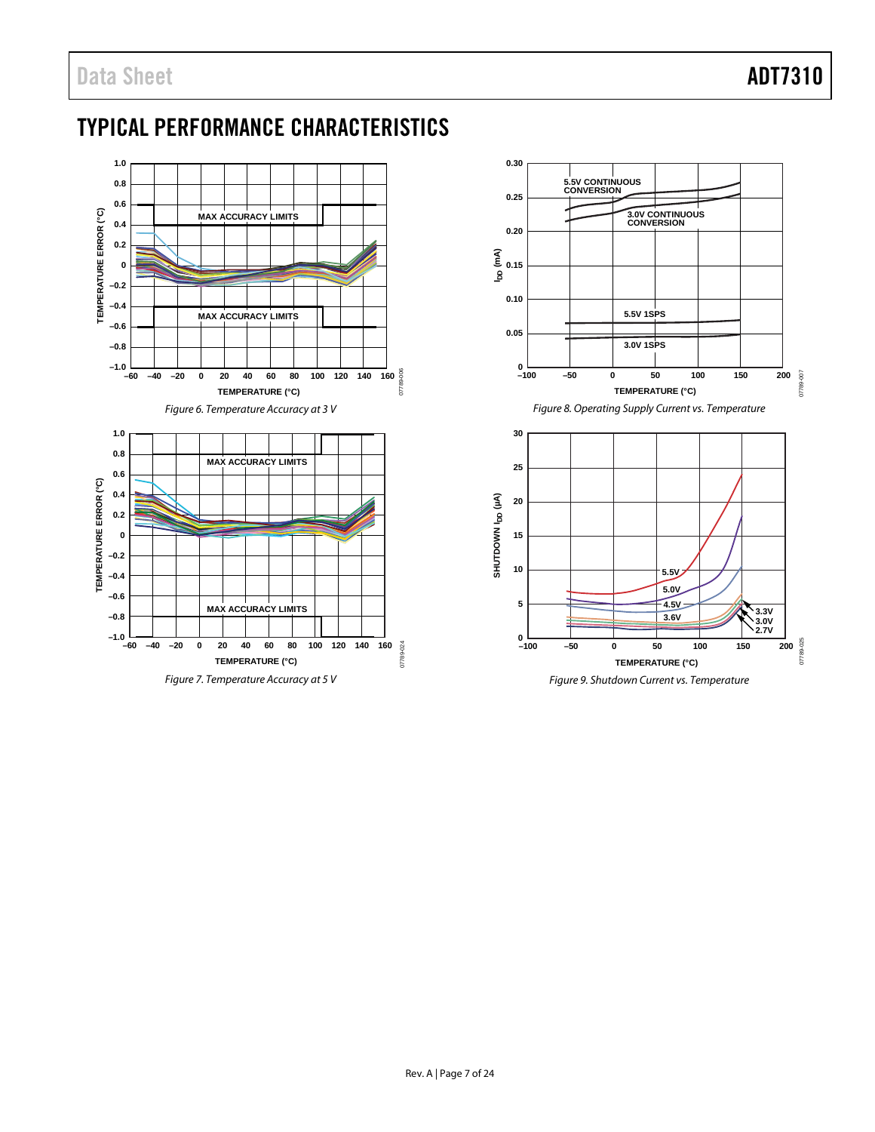## <span id="page-6-0"></span>TYPICAL PERFORMANCE CHARACTERISTICS



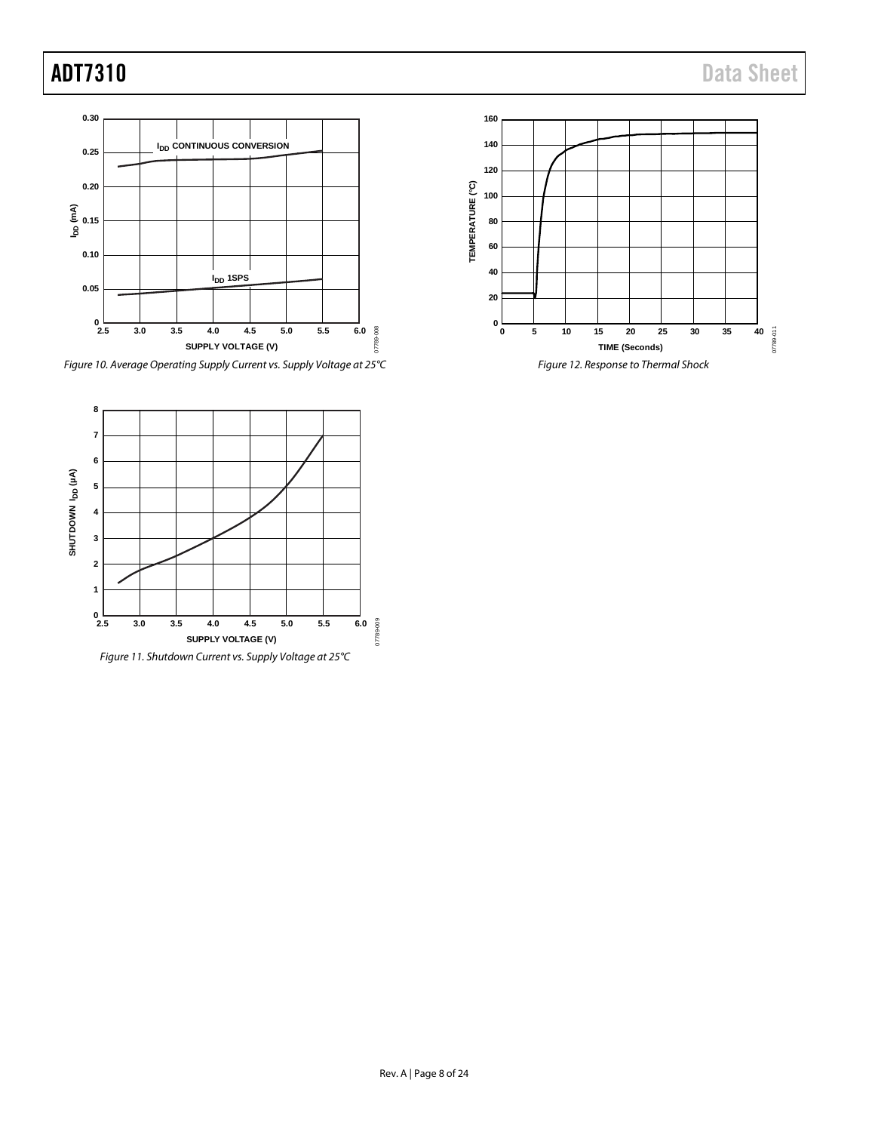





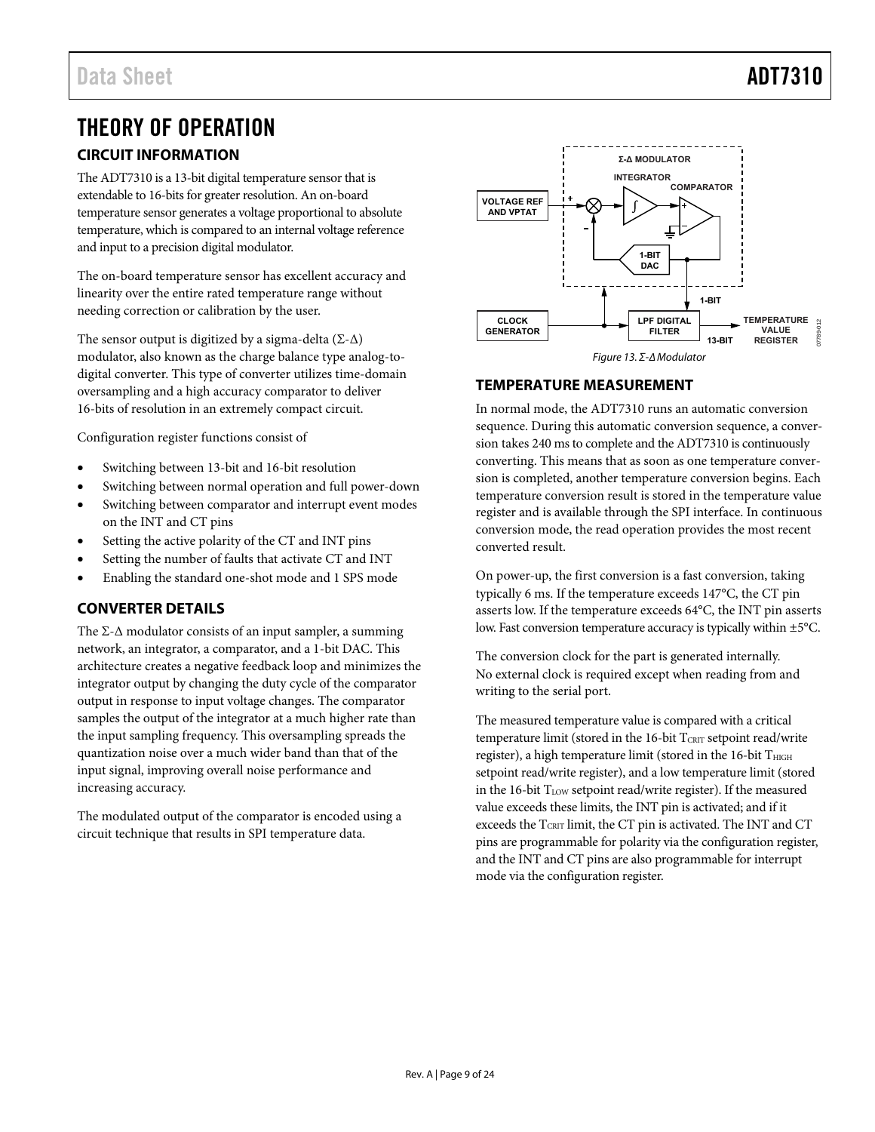# <span id="page-8-0"></span>THEORY OF OPERATION

### <span id="page-8-1"></span>**CIRCUIT INFORMATION**

The ADT7310 is a 13-bit digital temperature sensor that is extendable to 16-bits for greater resolution. An on-board temperature sensor generates a voltage proportional to absolute temperature, which is compared to an internal voltage reference and input to a precision digital modulator.

The on-board temperature sensor has excellent accuracy and linearity over the entire rated temperature range without needing correction or calibration by the user.

The sensor output is digitized by a sigma-delta ( $\Sigma$ - $\Delta$ ) modulator, also known as the charge balance type analog-todigital converter. This type of converter utilizes time-domain oversampling and a high accuracy comparator to deliver 16-bits of resolution in an extremely compact circuit.

Configuration register functions consist of

- Switching between 13-bit and 16-bit resolution
- Switching between normal operation and full power-down
- Switching between comparator and interrupt event modes on the INT and CT pins
- Setting the active polarity of the CT and INT pins
- Setting the number of faults that activate CT and INT
- Enabling the standard one-shot mode and 1 SPS mode

### <span id="page-8-2"></span>**CONVERTER DETAILS**

The  $\Sigma$ - $\Delta$  modulator consists of an input sampler, a summing network, an integrator, a comparator, and a 1-bit DAC. This architecture creates a negative feedback loop and minimizes the integrator output by changing the duty cycle of the comparator output in response to input voltage changes. The comparator samples the output of the integrator at a much higher rate than the input sampling frequency. This oversampling spreads the quantization noise over a much wider band than that of the input signal, improving overall noise performance and increasing accuracy.

The modulated output of the comparator is encoded using a circuit technique that results in SPI temperature data.



#### <span id="page-8-3"></span>**TEMPERATURE MEASUREMENT**

In normal mode, the ADT7310 runs an automatic conversion sequence. During this automatic conversion sequence, a conversion takes 240 ms to complete and the ADT7310 is continuously converting. This means that as soon as one temperature conversion is completed, another temperature conversion begins. Each temperature conversion result is stored in the temperature value register and is available through the SPI interface. In continuous conversion mode, the read operation provides the most recent converted result.

On power-up, the first conversion is a fast conversion, taking typically 6 ms. If the temperature exceeds 147°C, the CT pin asserts low. If the temperature exceeds 64°C, the INT pin asserts low. Fast conversion temperature accuracy is typically within ±5°C.

The conversion clock for the part is generated internally. No external clock is required except when reading from and writing to the serial port.

The measured temperature value is compared with a critical temperature limit (stored in the 16-bit  $T_{\text{CRIT}}$  setpoint read/write register), a high temperature limit (stored in the 16-bit THIGH setpoint read/write register), and a low temperature limit (stored in the 16-bit  $T_{LOW}$  setpoint read/write register). If the measured value exceeds these limits, the INT pin is activated; and if it exceeds the TCRIT limit, the CT pin is activated. The INT and CT pins are programmable for polarity via the configuration register, and the INT and CT pins are also programmable for interrupt mode via the configuration register.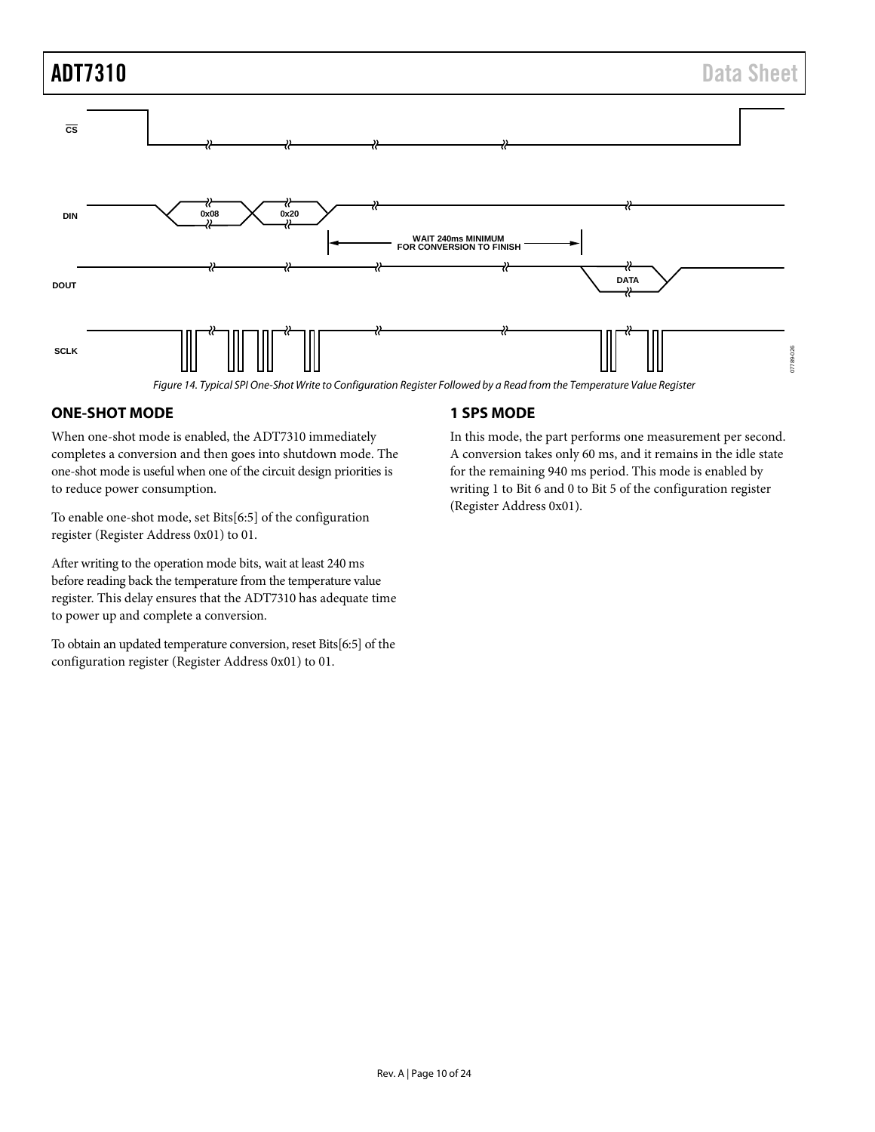# ADT7310 Data Sheet **CS DIN 0x08 0x20 WAIT 240ms MINIMUM FOR CONVERSION TO FINISH DATA DOUT SCLK** 7789-026 07789-026 *Figure 14. Typical SPI One-Shot Write to Configuration Register Followed by a Read from the Temperature Value Register*

#### <span id="page-9-0"></span>**ONE-SHOT MODE**

When one-shot mode is enabled, the [ADT7310](http://www.analog.com/ADT7320) immediately completes a conversion and then goes into shutdown mode. The one-shot mode is useful when one of the circuit design priorities is to reduce power consumption.

To enable one-shot mode, set Bits[6:5] of the configuration register (Register Address 0x01) to 01.

After writing to the operation mode bits, wait at least 240 ms before reading back the temperature from the temperature value register. This delay ensures that the [ADT7310](http://www.analog.com/ADT7320) has adequate time to power up and complete a conversion.

To obtain an updated temperature conversion, reset Bits[6:5] of the configuration register (Register Address 0x01) to 01.

#### <span id="page-9-1"></span>**1 SPS MODE**

In this mode, the part performs one measurement per second. A conversion takes only 60 ms, and it remains in the idle state for the remaining 940 ms period. This mode is enabled by writing 1 to Bit 6 and 0 to Bit 5 of the configuration register (Register Address 0x01).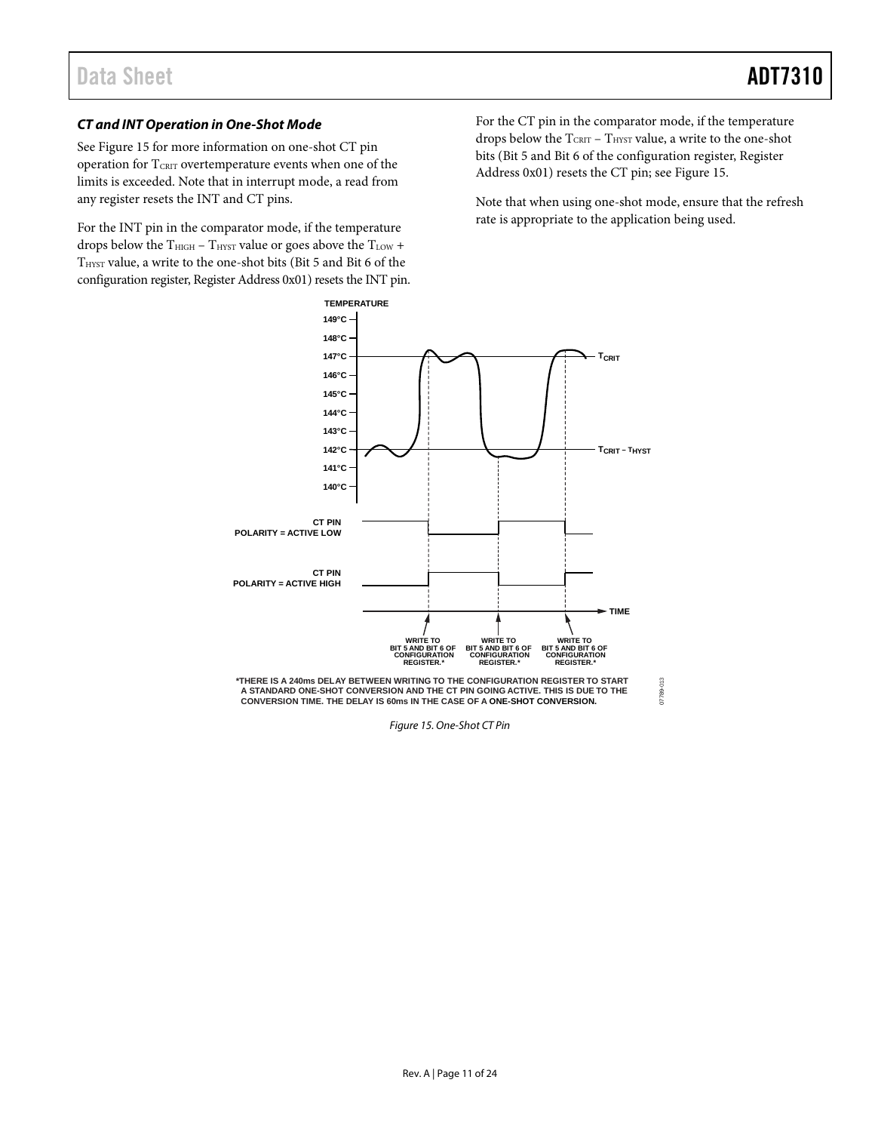#### *CT and INT Operation in One-Shot Mode*

See [Figure 15](#page-10-0) for more information on one-shot CT pin operation for TCRIT overtemperature events when one of the limits is exceeded. Note that in interrupt mode, a read from any register resets the INT and CT pins.

For the INT pin in the comparator mode, if the temperature drops below the  $T_{\text{HIGH}}$  –  $T_{\text{HYST}}$  value or goes above the  $T_{\text{LOW}}$  + T<sub>HYST</sub> value, a write to the one-shot bits (Bit 5 and Bit 6 of the configuration register, Register Address 0x01) resets the INT pin. For the CT pin in the comparator mode, if the temperature drops below the  $T_{\text{CRIT}}$  –  $T_{\text{HYST}}$  value, a write to the one-shot bits (Bit 5 and Bit 6 of the configuration register, Register Address 0x01) resets the CT pin; se[e Figure 15.](#page-10-0)

Note that when using one-shot mode, ensure that the refresh rate is appropriate to the application being used.



<span id="page-10-0"></span>*Figure 15. One-Shot CT Pin*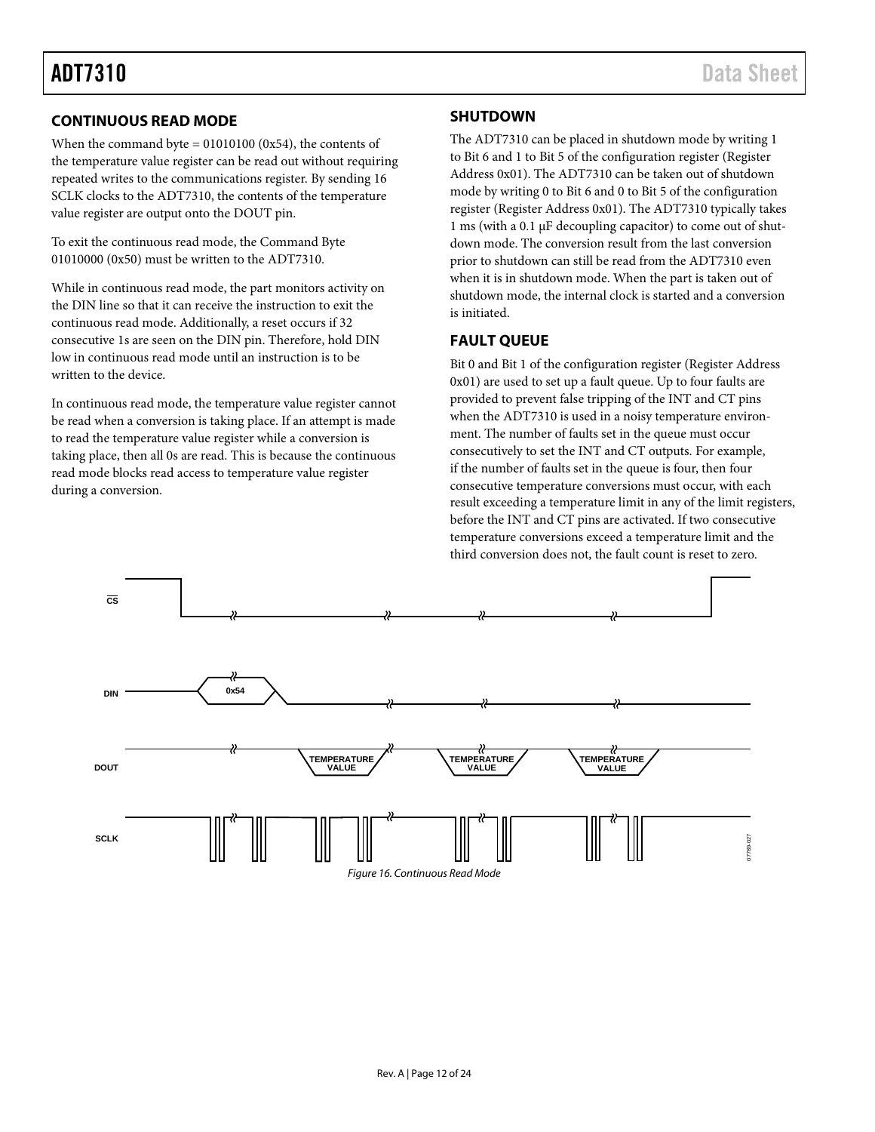#### <span id="page-11-0"></span>**CONTINUOUS READ MODE**

When the command byte  $= 01010100$  (0x54), the contents of the temperature value register can be read out without requiring repeated writes to the communications register. By sending 16 SCLK clocks to the ADT7310, the contents of the temperature value register are output onto the DOUT pin.

To exit the continuous read mode, the Command Byte 01010000 (0x50) must be written to the ADT7310.

While in continuous read mode, the part monitors activity on the DIN line so that it can receive the instruction to exit the continuous read mode. Additionally, a reset occurs if 32 consecutive 1s are seen on the DIN pin. Therefore, hold DIN low in continuous read mode until an instruction is to be written to the device.

In continuous read mode, the temperature value register cannot be read when a conversion is taking place. If an attempt is made to read the temperature value register while a conversion is taking place, then all 0s are read. This is because the continuous read mode blocks read access to temperature value register during a conversion.

#### <span id="page-11-1"></span>**SHUTDOWN**

The ADT7310 can be placed in shutdown mode by writing 1 to Bit 6 and 1 to Bit 5 of the configuration register (Register Address 0x01). The ADT7310 can be taken out of shutdown mode by writing 0 to Bit 6 and 0 to Bit 5 of the configuration register (Register Address 0x01). The ADT7310 typically takes 1 ms (with a 0.1 µF decoupling capacitor) to come out of shutdown mode. The conversion result from the last conversion prior to shutdown can still be read from the ADT7310 even when it is in shutdown mode. When the part is taken out of shutdown mode, the internal clock is started and a conversion is initiated.

#### <span id="page-11-2"></span>**FAULT QUEUE**

Bit 0 and Bit 1 of the configuration register (Register Address 0x01) are used to set up a fault queue. Up to four faults are provided to prevent false tripping of the INT and CT pins when the ADT7310 is used in a noisy temperature environment. The number of faults set in the queue must occur consecutively to set the INT and CT outputs. For example, if the number of faults set in the queue is four, then four consecutive temperature conversions must occur, with each result exceeding a temperature limit in any of the limit registers, before the INT and CT pins are activated. If two consecutive temperature conversions exceed a temperature limit and the third conversion does not, the fault count is reset to zero.

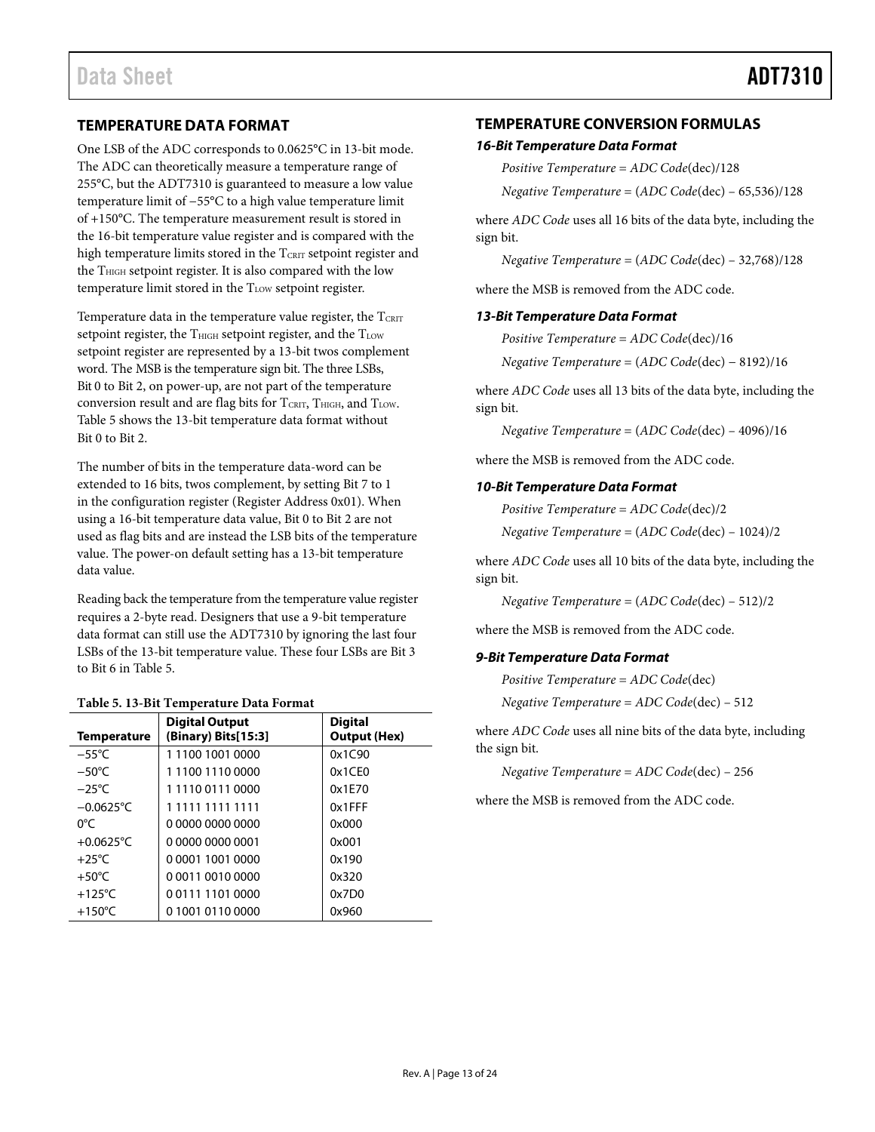#### <span id="page-12-0"></span>**TEMPERATURE DATA FORMAT**

One LSB of the ADC corresponds to 0.0625°C in 13-bit mode. The ADC can theoretically measure a temperature range of 255°C, but the ADT7310 is guaranteed to measure a low value temperature limit of −55°C to a high value temperature limit of +150°C. The temperature measurement result is stored in the 16-bit temperature value register and is compared with the high temperature limits stored in the  $T_{\text{CRIT}}$  setpoint register and the T<sub>HIGH</sub> setpoint register. It is also compared with the low temperature limit stored in the T<sub>LOW</sub> setpoint register.

Temperature data in the temperature value register, the  $T_{\text{CRIT}}$ setpoint register, the  $T<sub>HIGH</sub>$  setpoint register, and the  $T<sub>LOW</sub>$ setpoint register are represented by a 13-bit twos complement word. The MSB is the temperature sign bit. The three LSBs, Bit 0 to Bit 2, on power-up, are not part of the temperature conversion result and are flag bits for  $T_{CRIT}$ ,  $T_{HIGH}$ , and  $T_{LOW}$ . [Table 5](#page-12-2) shows the 13-bit temperature data format without Bit 0 to Bit 2.

The number of bits in the temperature data-word can be extended to 16 bits, twos complement, by setting Bit 7 to 1 in the configuration register (Register Address 0x01). When using a 16-bit temperature data value, Bit 0 to Bit 2 are not used as flag bits and are instead the LSB bits of the temperature value. The power-on default setting has a 13-bit temperature data value.

Reading back the temperature from the temperature value register requires a 2-byte read. Designers that use a 9-bit temperature data format can still use the ADT7310 by ignoring the last four LSBs of the 13-bit temperature value. These four LSBs are Bit 3 to Bit 6 in [Table 5.](#page-12-2)

<span id="page-12-2"></span>

| <b>Temperature</b> | <b>Digital Output</b><br>(Binary) Bits[15:3] | <b>Digital</b><br><b>Output (Hex)</b> |
|--------------------|----------------------------------------------|---------------------------------------|
| $-55^{\circ}$ C    | 1110010010000                                | 0x1C90                                |
| $-50^{\circ}$ C    | 1110011100000                                | 0x1CE0                                |
| $-25^{\circ}$ C    | 1111001110000                                | 0x1E70                                |
| $-0.0625$ °C       | 1 1111 1111 1111                             | $0x1$ FFF                             |
| 0°C                | 0 0000 0000 0000                             | 0x000                                 |
| $+0.0625$ °C       | 0 0000 0000 0001                             | 0x001                                 |
| $+25^{\circ}$ C    | 0 0001 1001 0000                             | 0x190                                 |
| $+50^{\circ}$ C    | 0 0011 0010 0000                             | 0x320                                 |
| +125 $\degree$ C   | 0011111010000                                | 0x7D0                                 |
| $+150^{\circ}$ C   | 0 1001 0110 0000                             | 0x960                                 |

#### <span id="page-12-1"></span>**TEMPERATURE CONVERSION FORMULAS**

#### *16-Bit Temperature Data Format*

*Positive Temperature* = *ADC Code*(dec)/128

*Negative Temperature* = (*ADC Code*(dec) – 65,536)/128

where *ADC Code* uses all 16 bits of the data byte, including the sign bit.

*Negative Temperature* = (*ADC Code*(dec) – 32,768)/128

where the MSB is removed from the ADC code.

#### *13-Bit Temperature Data Format*

*Positive Temperature* = *ADC Code*(dec)/16

*Negative Temperature* = (*ADC Code*(dec) − 8192)/16

where *ADC Code* uses all 13 bits of the data byte, including the sign bit.

*Negative Temperature* = (*ADC Code*(dec) – 4096)/16

where the MSB is removed from the ADC code.

#### *10-Bit Temperature Data Format*

*Positive Temperature* = *ADC Code*(dec)/2

*Negative Temperature* = (*ADC Code*(dec) – 1024)/2

where *ADC Code* uses all 10 bits of the data byte, including the sign bit.

*Negative Temperature* = (*ADC Code*(dec) – 512)/2

where the MSB is removed from the ADC code.

#### *9-Bit Temperature Data Format*

*Positive Temperature* = *ADC Code*(dec)

*Negative Temperature* = *ADC Code*(dec) – 512

where *ADC Code* uses all nine bits of the data byte, including the sign bit.

*Negative Temperature* = *ADC Code*(dec) – 256

where the MSB is removed from the ADC code.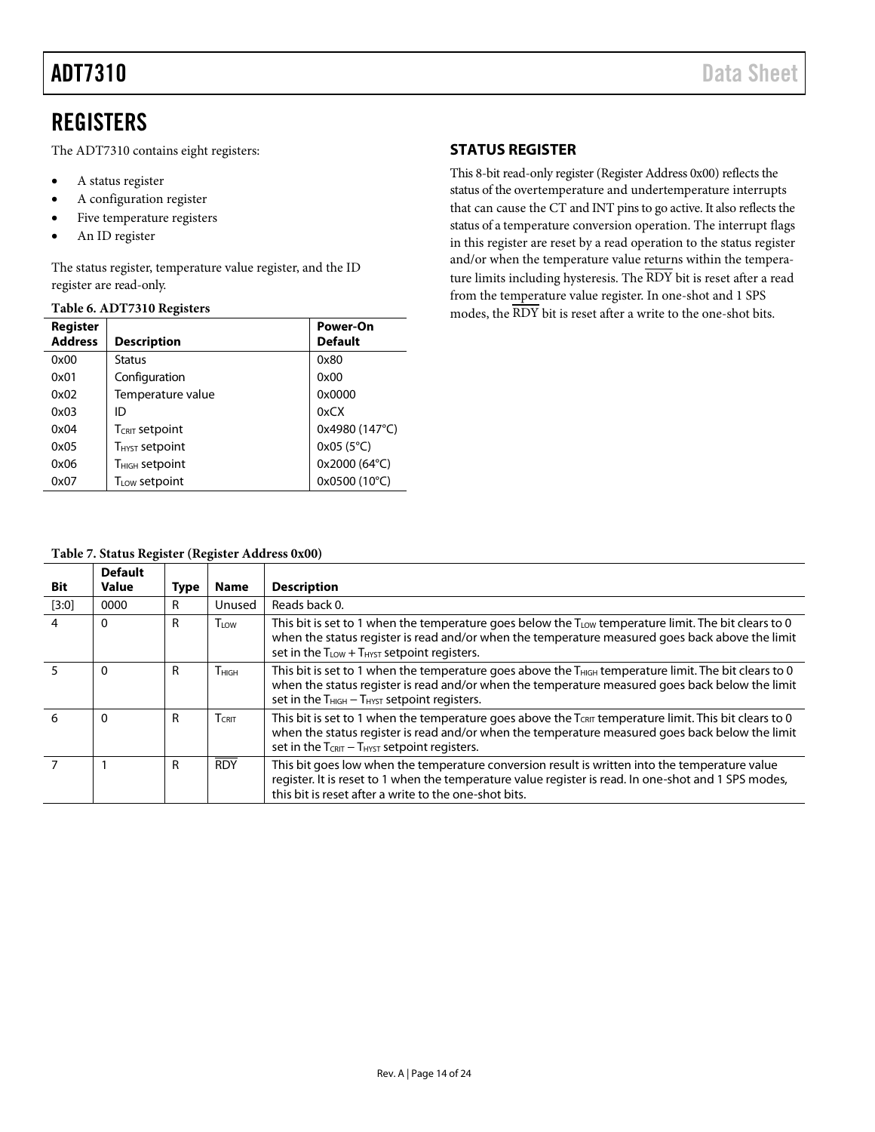<span id="page-13-0"></span>The ADT7310 contains eight registers:

- A status register
- A configuration register
- Five temperature registers
- An ID register

The status register, temperature value register, and the ID register are read-only.

#### **Table 6. ADT7310 Registers**

| Register<br><b>Address</b> | <b>Description</b>         | Power-On<br><b>Default</b> |
|----------------------------|----------------------------|----------------------------|
| 0x00                       | <b>Status</b>              | 0x80                       |
| 0x01                       | Configuration              | 0x00                       |
| 0x02                       | Temperature value          | 0x0000                     |
| 0x03                       | ID                         | 0xCX                       |
| 0x04                       | <b>TCRIT Setpoint</b>      | 0x4980 (147°C)             |
| 0x05                       | <b>THYST Setpoint</b>      | $0x05(5^{\circ}C)$         |
| 0x06                       | T <sub>HIGH</sub> setpoint | 0x2000 (64°C)              |
| 0x07                       | T <sub>LOW</sub> setpoint  | 0x0500 (10°C)              |

#### <span id="page-13-1"></span>**STATUS REGISTER**

This 8-bit read-only register (Register Address 0x00) reflects the status of the overtemperature and undertemperature interrupts that can cause the CT and INT pins to go active. It also reflects the status of a temperature conversion operation. The interrupt flags in this register are reset by a read operation to the status register and/or when the temperature value returns within the temperature limits including hysteresis. The  $\overline{\rm RDY}$  bit is reset after a read from the temperature value register. In one-shot and 1 SPS modes, the RDY bit is reset after a write to the one-shot bits.

#### **Table 7. Status Register (Register Address 0x00)**

| <b>Bit</b> | <b>Default</b><br>Value | <b>Type</b> | <b>Name</b>  | <b>Description</b>                                                                                                                                                                                                                                                           |
|------------|-------------------------|-------------|--------------|------------------------------------------------------------------------------------------------------------------------------------------------------------------------------------------------------------------------------------------------------------------------------|
| $[3:0]$    | 0000                    | R           | Unused       | Reads back 0.                                                                                                                                                                                                                                                                |
| 4          | 0                       | R           | TLOW         | This bit is set to 1 when the temperature goes below the $T_{\text{LOW}}$ temperature limit. The bit clears to 0<br>when the status register is read and/or when the temperature measured goes back above the limit<br>set in the $T_{LOW}$ + $T_{HYST}$ setpoint registers. |
|            | $\Omega$                | R           | <b>THIGH</b> | This bit is set to 1 when the temperature goes above the $T_{\text{HIGH}}$ temperature limit. The bit clears to 0<br>when the status register is read and/or when the temperature measured goes back below the limit<br>set in the $T_{HIGH} - T_{HYST}$ setpoint registers. |
| 6          | $\Omega$                | R           | $T$ Crit     | This bit is set to 1 when the temperature goes above the TCRIT temperature limit. This bit clears to 0<br>when the status register is read and/or when the temperature measured goes back below the limit<br>set in the $T_{CRIT} - T_{HYST}$ setpoint registers.            |
|            |                         | R           | <b>RDY</b>   | This bit goes low when the temperature conversion result is written into the temperature value<br>register. It is reset to 1 when the temperature value register is read. In one-shot and 1 SPS modes,<br>this bit is reset after a write to the one-shot bits.              |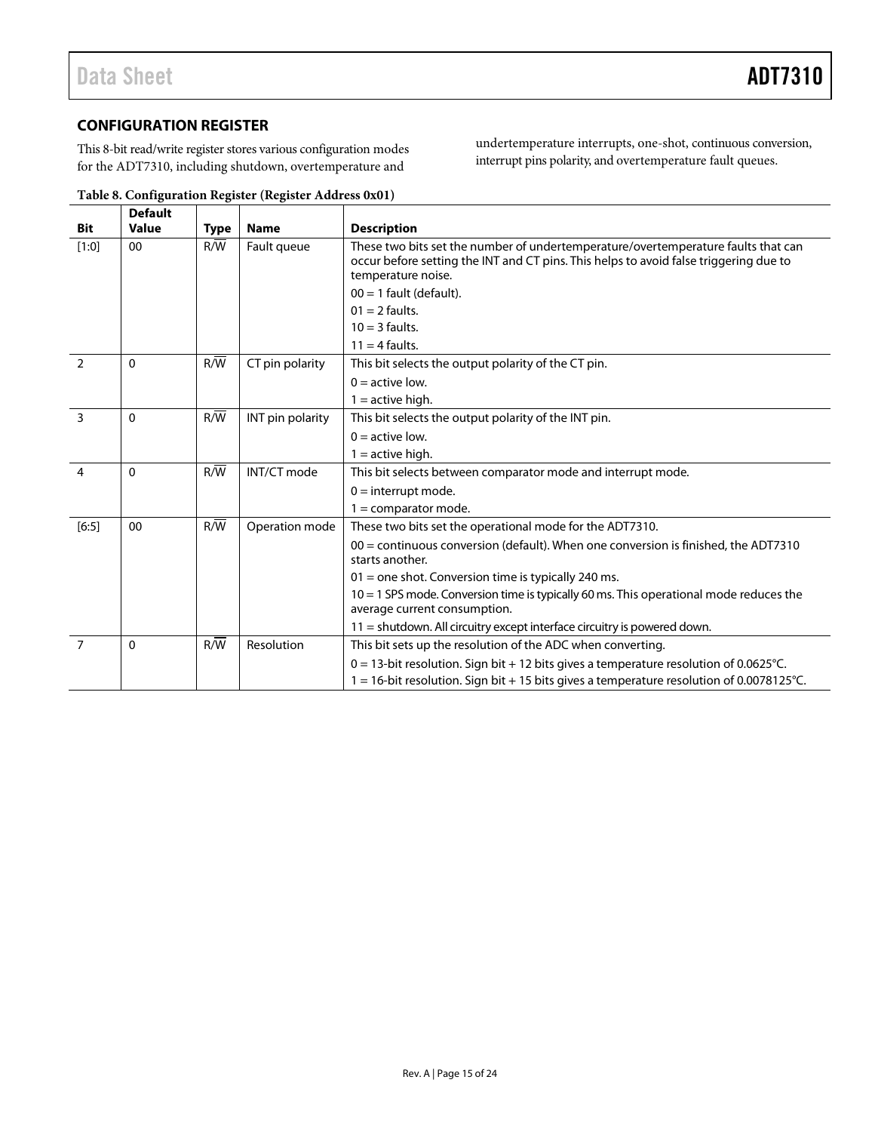#### <span id="page-14-0"></span>**CONFIGURATION REGISTER**

This 8-bit read/write register stores various configuration modes for the ADT7310, including shutdown, overtemperature and

undertemperature interrupts, one-shot, continuous conversion, interrupt pins polarity, and overtemperature fault queues.

|                | <b>Default</b> |                  |                  |                                                                                                                                                                                                  |  |  |  |
|----------------|----------------|------------------|------------------|--------------------------------------------------------------------------------------------------------------------------------------------------------------------------------------------------|--|--|--|
| Bit            | <b>Value</b>   | <b>Type</b>      | <b>Name</b>      | <b>Description</b>                                                                                                                                                                               |  |  |  |
| $[1:0]$        | 00             | R/W              | Fault queue      | These two bits set the number of undertemperature/overtemperature faults that can<br>occur before setting the INT and CT pins. This helps to avoid false triggering due to<br>temperature noise. |  |  |  |
|                |                |                  |                  | $00 = 1$ fault (default).                                                                                                                                                                        |  |  |  |
|                |                |                  |                  | $01 = 2$ faults.                                                                                                                                                                                 |  |  |  |
|                |                |                  |                  | $10 = 3$ faults.                                                                                                                                                                                 |  |  |  |
|                |                |                  |                  | $11 = 4$ faults.                                                                                                                                                                                 |  |  |  |
| $\overline{2}$ | $\mathbf{0}$   | $R/\overline{W}$ | CT pin polarity  | This bit selects the output polarity of the CT pin.                                                                                                                                              |  |  |  |
|                |                |                  |                  | $0 =$ active low.                                                                                                                                                                                |  |  |  |
|                |                |                  |                  | $1 =$ active high.                                                                                                                                                                               |  |  |  |
| 3              | $\mathbf{0}$   | R/W              | INT pin polarity | This bit selects the output polarity of the INT pin.                                                                                                                                             |  |  |  |
|                |                |                  |                  | $0 =$ active low.                                                                                                                                                                                |  |  |  |
|                |                |                  |                  | $1 =$ active high.                                                                                                                                                                               |  |  |  |
| $\overline{4}$ | $\mathbf{0}$   | $R/\overline{W}$ | INT/CT mode      | This bit selects between comparator mode and interrupt mode.                                                                                                                                     |  |  |  |
|                |                |                  |                  | $0 =$ interrupt mode.                                                                                                                                                                            |  |  |  |
|                |                |                  |                  | $1 =$ comparator mode.                                                                                                                                                                           |  |  |  |
| $[6:5]$        | 00             | R/W              | Operation mode   | These two bits set the operational mode for the ADT7310.                                                                                                                                         |  |  |  |
|                |                |                  |                  | $00 =$ continuous conversion (default). When one conversion is finished, the ADT7310<br>starts another.                                                                                          |  |  |  |
|                |                |                  |                  | $01$ = one shot. Conversion time is typically 240 ms.                                                                                                                                            |  |  |  |
|                |                |                  |                  | $10 = 1$ SPS mode. Conversion time is typically 60 ms. This operational mode reduces the                                                                                                         |  |  |  |
|                |                |                  |                  | average current consumption.                                                                                                                                                                     |  |  |  |
|                |                |                  |                  | $11$ = shutdown. All circuitry except interface circuitry is powered down.                                                                                                                       |  |  |  |
| $\overline{7}$ | $\mathbf{0}$   | R/W              | Resolution       | This bit sets up the resolution of the ADC when converting.                                                                                                                                      |  |  |  |
|                |                |                  |                  | $0 = 13$ -bit resolution. Sign bit + 12 bits gives a temperature resolution of 0.0625°C.                                                                                                         |  |  |  |
|                |                |                  |                  | $1 = 16$ -bit resolution. Sign bit + 15 bits gives a temperature resolution of 0.0078125°C.                                                                                                      |  |  |  |

**Table 8. Configuration Register (Register Address 0x01)**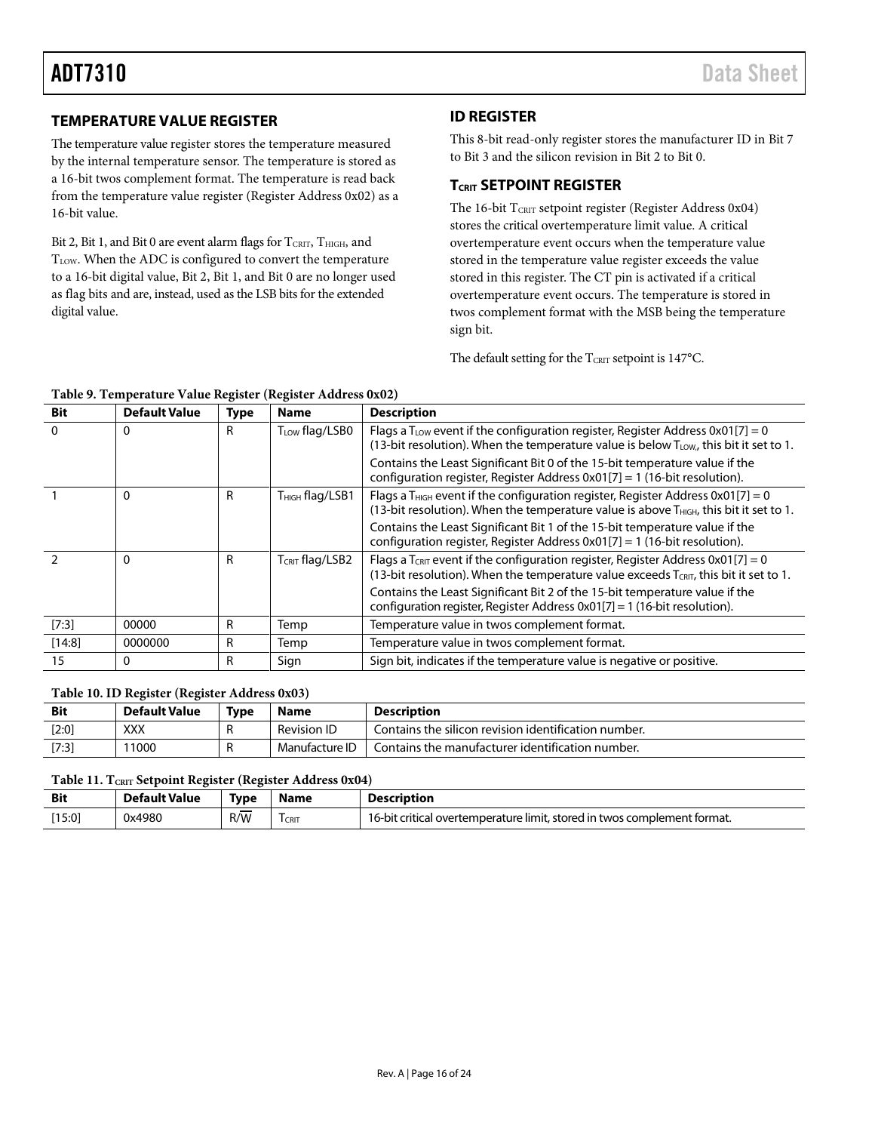#### <span id="page-15-0"></span>**TEMPERATURE VALUE REGISTER**

The temperature value register stores the temperature measured by the internal temperature sensor. The temperature is stored as a 16-bit twos complement format. The temperature is read back from the temperature value register (Register Address 0x02) as a 16-bit value.

Bit 2, Bit 1, and Bit 0 are event alarm flags for  $T_{\text{CRIT}}$ ,  $T_{\text{HIGH}}$ , and T<sub>LOW</sub>. When the ADC is configured to convert the temperature to a 16-bit digital value, Bit 2, Bit 1, and Bit 0 are no longer used as flag bits and are, instead, used as the LSB bits for the extended digital value.

### <span id="page-15-1"></span>**ID REGISTER**

This 8-bit read-only register stores the manufacturer ID in Bit 7 to Bit 3 and the silicon revision in Bit 2 to Bit 0.

#### <span id="page-15-2"></span>**TCRIT SETPOINT REGISTER**

The 16-bit TCRIT setpoint register (Register Address 0x04) stores the critical overtemperature limit value. A critical overtemperature event occurs when the temperature value stored in the temperature value register exceeds the value stored in this register. The CT pin is activated if a critical overtemperature event occurs. The temperature is stored in twos complement format with the MSB being the temperature sign bit.

The default setting for the  $T_{\text{CRIT}}$  setpoint is 147°C.

#### **Table 9. Temperature Value Register (Register Address 0x02)**

| <b>Bit</b> | <b>Default Value</b> | Type | <b>Name</b>                 | <b>Description</b>                                                                                                                                                                                |  |
|------------|----------------------|------|-----------------------------|---------------------------------------------------------------------------------------------------------------------------------------------------------------------------------------------------|--|
| $\Omega$   | 0                    | R    | T <sub>LOW</sub> flag/LSB0  | Flags a T <sub>LOW</sub> event if the configuration register, Register Address $0x01[7] = 0$<br>(13-bit resolution). When the temperature value is below T <sub>LOW</sub> , this bit it set to 1. |  |
|            |                      |      |                             | Contains the Least Significant Bit 0 of the 15-bit temperature value if the<br>configuration register, Register Address $0x01[7] = 1$ (16-bit resolution).                                        |  |
|            | $\Omega$             | R    | T <sub>HIGH</sub> flag/LSB1 | Flags a T <sub>HIGH</sub> event if the configuration register, Register Address 0x01[7] = 0<br>(13-bit resolution). When the temperature value is above THIGH, this bit it set to 1.              |  |
|            |                      |      |                             | Contains the Least Significant Bit 1 of the 15-bit temperature value if the<br>configuration register, Register Address $0x01[7] = 1$ (16-bit resolution).                                        |  |
|            | $\Omega$             | R    | T <sub>CRIT</sub> flag/LSB2 | Flags a T <sub>CRIT</sub> event if the configuration register, Register Address 0x01[7] = 0<br>(13-bit resolution). When the temperature value exceeds $T_{CRIT}$ , this bit it set to 1.         |  |
|            |                      |      |                             | Contains the Least Significant Bit 2 of the 15-bit temperature value if the<br>configuration register, Register Address 0x01[7] = 1 (16-bit resolution).                                          |  |
| [7:3]      | 00000                | R    | Temp                        | Temperature value in twos complement format.                                                                                                                                                      |  |
| [14:8]     | 0000000              | R    | Temp                        | Temperature value in twos complement format.                                                                                                                                                      |  |
| 15         | 0                    | R    | Sign                        | Sign bit, indicates if the temperature value is negative or positive.                                                                                                                             |  |

#### **Table 10. ID Register (Register Address 0x03)**

| <b>Bit</b> | Default Value | Type | <b>Name</b>        | <b>Description</b>                                   |
|------------|---------------|------|--------------------|------------------------------------------------------|
| [2:0]      | XXX           |      | <b>Revision ID</b> | Contains the silicon revision identification number. |
| [7:3]      | 1000          |      | Manufacture ID     | Contains the manufacturer identification number.     |

#### **Table 11. TCRIT Setpoint Register (Register Address 0x04)**

| <b>Bit</b> | <b>Default Value</b> | Type | Name        | Description                                                              |
|------------|----------------------|------|-------------|--------------------------------------------------------------------------|
| [15:0]     | 0x4980               | R/W  | <b>CRIT</b> | 16-bit critical overtemperature limit, stored in twos complement format. |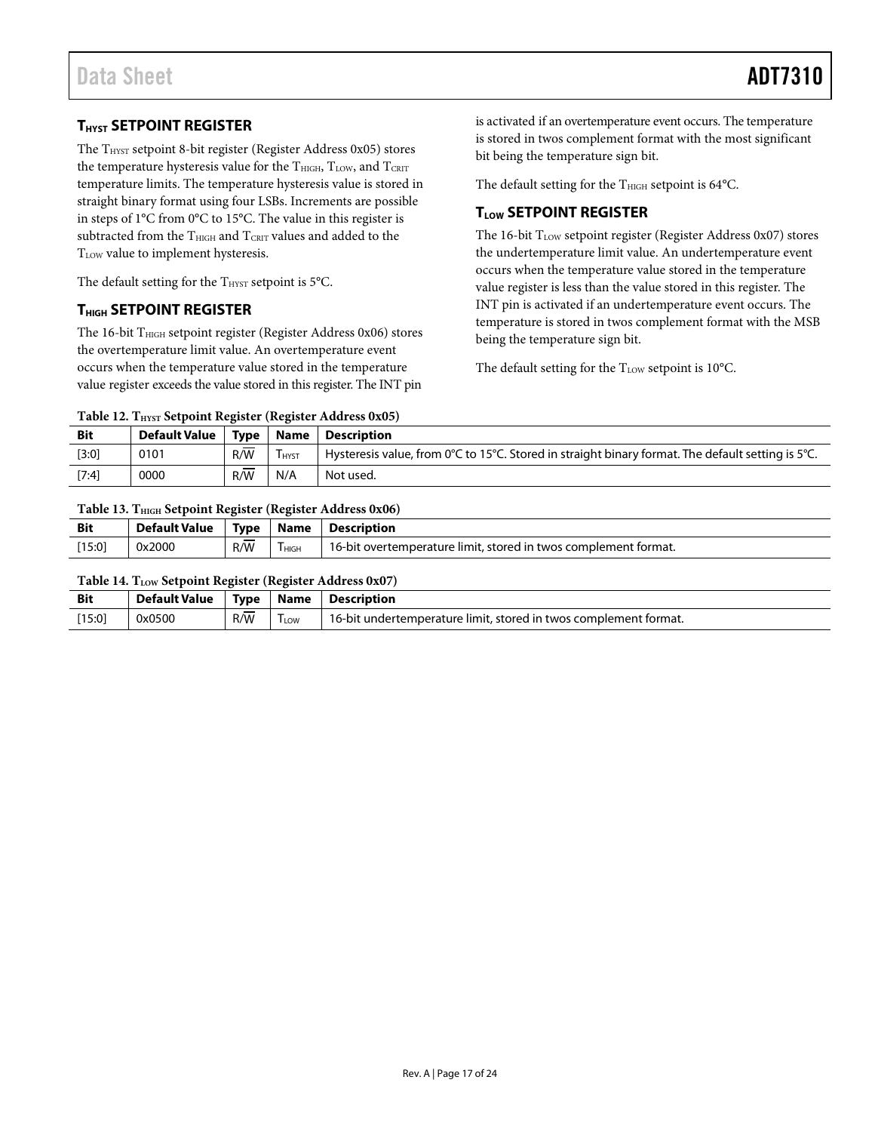### <span id="page-16-0"></span>**THYST SETPOINT REGISTER**

The  $\rm T_{HYST}$  setpoint 8-bit register (Register Address 0x05) stores the temperature hysteresis value for the  $T<sub>HIGH</sub>, T<sub>LOW</sub>,$  and  $T<sub>CRT</sub>$ temperature limits. The temperature hysteresis value is stored in straight binary format using four LSBs. Increments are possible in steps of 1°C from 0°C to 15°C. The value in this register is subtracted from the  $\rm T_{\rm HIGH}$  and  $\rm T_{\rm CRIT}$  values and added to the T<sub>LOW</sub> value to implement hysteresis.

The default setting for the  $T_{HYST}$  setpoint is 5°C.

#### <span id="page-16-1"></span>**THIGH SETPOINT REGISTER**

The 16-bit THIGH setpoint register (Register Address 0x06) stores the overtemperature limit value. An overtemperature event occurs when the temperature value stored in the temperature value register exceeds the value stored in this register. The INT pin

is activated if an overtemperature event occurs. The temperature is stored in twos complement format with the most significant bit being the temperature sign bit.

The default setting for the  $T<sub>HIGH</sub>$  setpoint is 64 $°C$ .

#### <span id="page-16-2"></span>**TLOW SETPOINT REGISTER**

The 16-bit  $T_{LOW}$  setpoint register (Register Address 0x07) stores the undertemperature limit value. An undertemperature event occurs when the temperature value stored in the temperature value register is less than the value stored in this register. The INT pin is activated if an undertemperature event occurs. The temperature is stored in twos complement format with the MSB being the temperature sign bit.

The default setting for the  $T_{LOW}$  setpoint is 10°C.

Table 12. T<sub>HYST</sub> Setpoint Register (Register Address 0x05)

| <b>Bit</b> | <b>Default Value</b> | Tvpe | Name        | <b>Description</b>                                                                                |
|------------|----------------------|------|-------------|---------------------------------------------------------------------------------------------------|
| $[3:0]$    | 0101                 | R/W  | <b>HYST</b> | Hysteresis value, from 0°C to 15°C. Stored in straight binary format. The default setting is 5°C. |
| $[7:4]$    | 0000                 | R/W  | N/A         | Not used.                                                                                         |

#### **Table 13. THIGH Setpoint Register (Register Address 0x06)**

| <b>Bit</b> | <b>Default Value</b> | Type     | Name   | <b>Description</b>                                              |
|------------|----------------------|----------|--------|-----------------------------------------------------------------|
| $[15:0]$   | 0x2000               | –<br>R/W | I HIGH | 16-bit overtemperature limit, stored in twos complement format. |

#### **Table 14. TLOW Setpoint Register (Register Address 0x07)**

| <b>Bit</b> | <b>Default Value</b> | <b>Type</b> | <b>Name</b>      | Description                                                      |
|------------|----------------------|-------------|------------------|------------------------------------------------------------------|
| [15:0]     | 0x0500               | R/W         | <sup>l</sup> LOW | 16-bit undertemperature limit, stored in twos complement format. |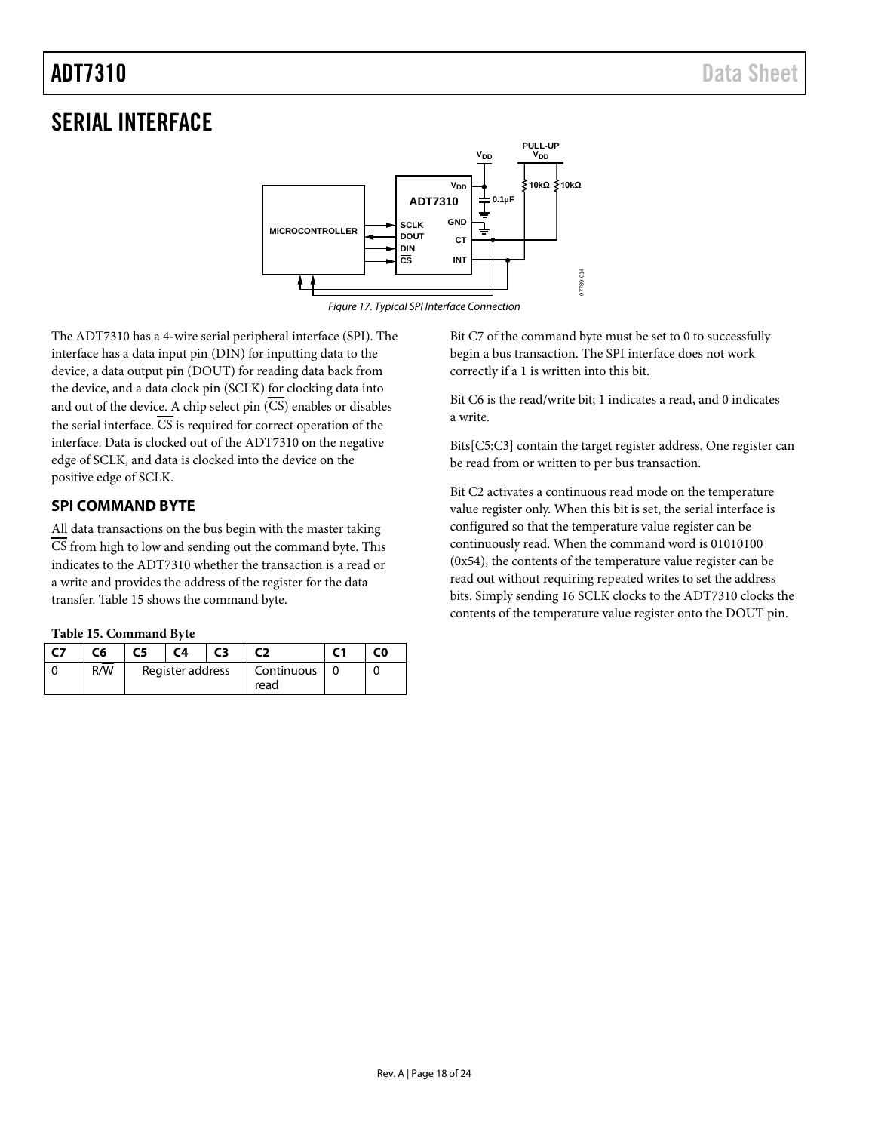# <span id="page-17-0"></span>SERIAL INTERFACE



*Figure 17. Typical SPI Interface Connection*

The ADT7310 has a 4-wire serial peripheral interface (SPI). The interface has a data input pin (DIN) for inputting data to the device, a data output pin (DOUT) for reading data back from the device, and a data clock pin (SCLK) for clocking data into and out of the device. A chip select pin  $(\overline{CS})$  enables or disables the serial interface.  $\overline{\text{CS}}$  is required for correct operation of the interface. Data is clocked out of the ADT7310 on the negative edge of SCLK, and data is clocked into the device on the positive edge of SCLK.

#### <span id="page-17-1"></span>**SPI COMMAND BYTE**

All data transactions on the bus begin with the master taking  $\overline{CS}$  from high to low and sending out the command byte. This indicates to the ADT7310 whether the transaction is a read or a write and provides the address of the register for the data transfer. [Table 15](#page-17-2) shows the command byte.

<span id="page-17-2"></span>

|  |  | Table 15. Command Byte |  |
|--|--|------------------------|--|
|--|--|------------------------|--|

| <b>C7</b> | C6  | C5 | C <sub>4</sub>   | C3 |                    | C0 |
|-----------|-----|----|------------------|----|--------------------|----|
|           | R/W |    | Register address |    | Continuous<br>read |    |

Bit C7 of the command byte must be set to 0 to successfully begin a bus transaction. The SPI interface does not work correctly if a 1 is written into this bit.

Bit C6 is the read/write bit; 1 indicates a read, and 0 indicates a write.

Bits[C5:C3] contain the target register address. One register can be read from or written to per bus transaction.

Bit C2 activates a continuous read mode on the temperature value register only. When this bit is set, the serial interface is configured so that the temperature value register can be continuously read. When the command word is 01010100 (0x54), the contents of the temperature value register can be read out without requiring repeated writes to set the address bits. Simply sending 16 SCLK clocks to the ADT7310 clocks the contents of the temperature value register onto the DOUT pin.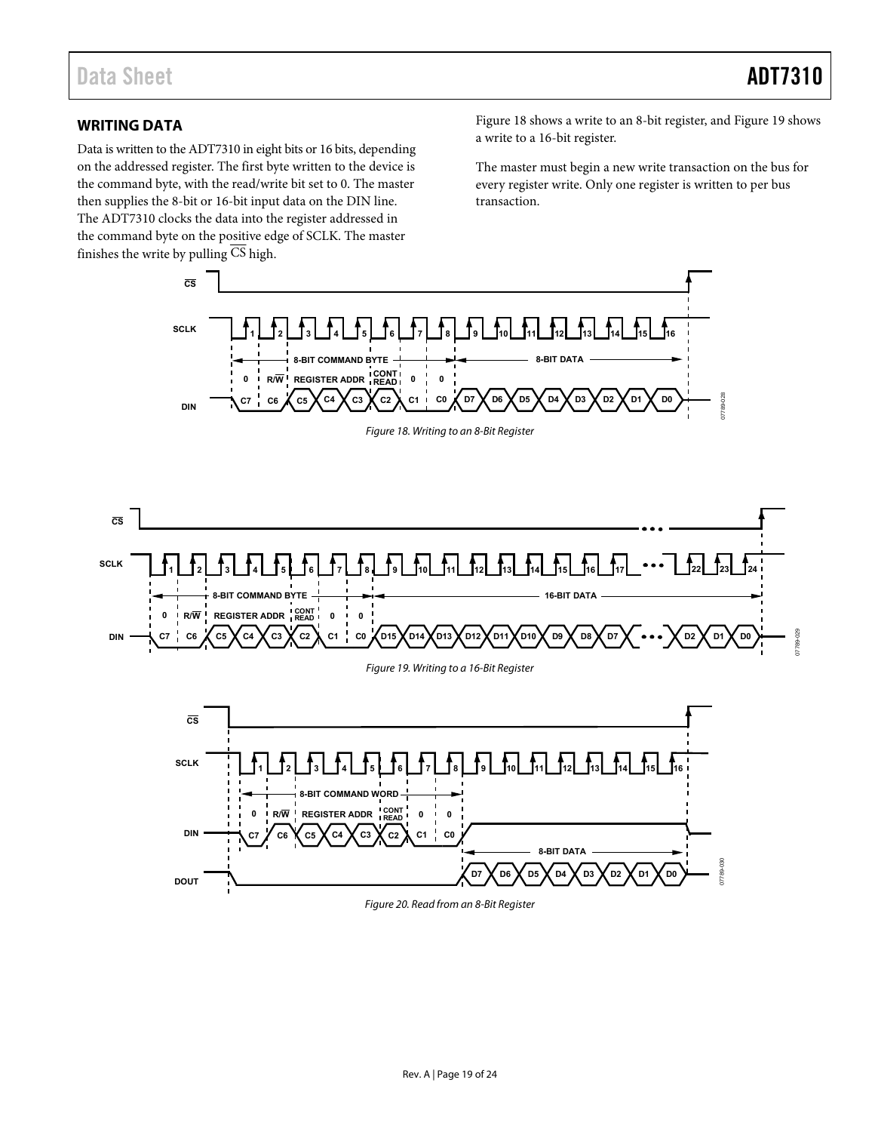#### <span id="page-18-0"></span>**WRITING DATA**

Data is written to the ADT7310 in eight bits or 16 bits, depending on the addressed register. The first byte written to the device is the command byte, with the read/write bit set to 0. The master then supplies the 8-bit or 16-bit input data on the DIN line. The ADT7310 clocks the data into the register addressed in the command byte on the positive edge of SCLK. The master finishes the write by pulling CS high.

[Figure 18 s](#page-18-1)hows a write to an 8-bit register, and [Figure 19 s](#page-18-2)hows a write to a 16-bit register.

The master must begin a new write transaction on the bus for every register write. Only one register is written to per bus transaction.

<span id="page-18-1"></span>

<span id="page-18-2"></span>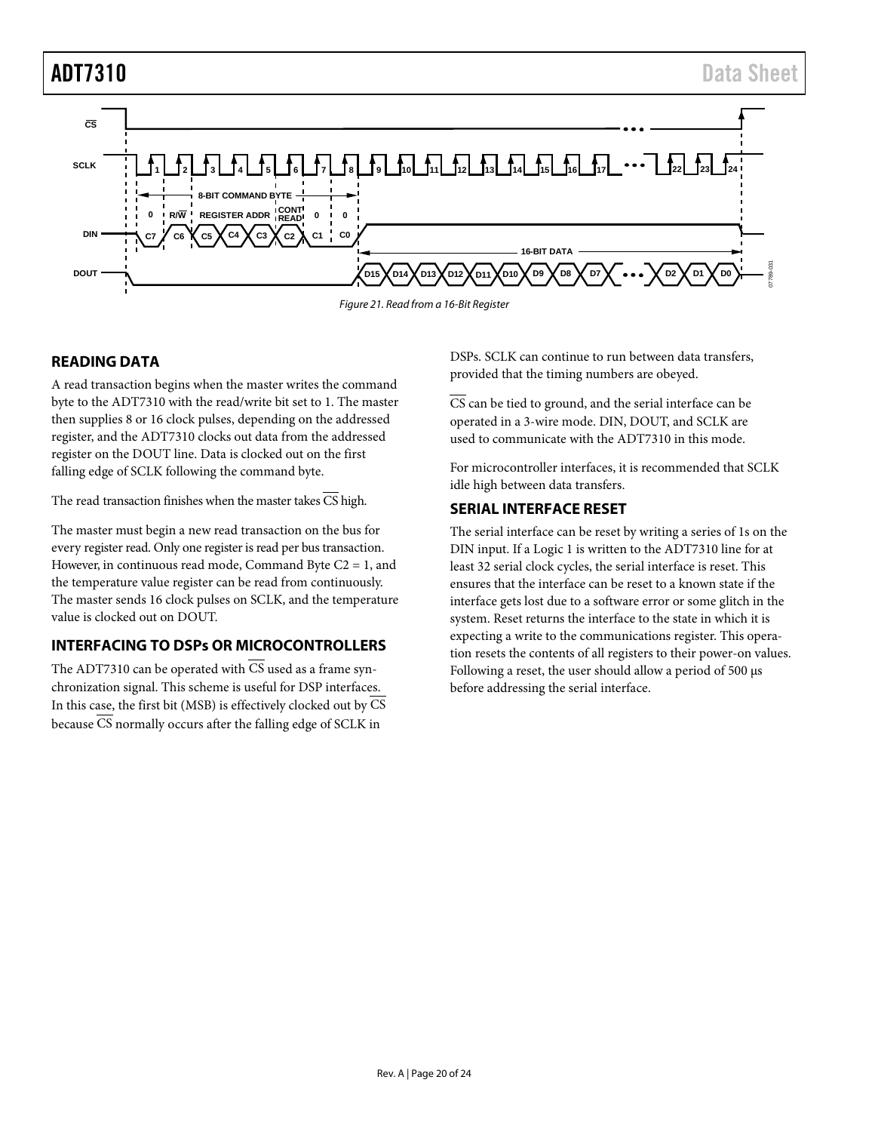

*Figure 21. Read from a 16-Bit Register*

#### <span id="page-19-0"></span>**READING DATA**

A read transaction begins when the master writes the command byte to the ADT7310 with the read/write bit set to 1. The master then supplies 8 or 16 clock pulses, depending on the addressed register, and the ADT7310 clocks out data from the addressed register on the DOUT line. Data is clocked out on the first falling edge of SCLK following the command byte.

The read transaction finishes when the master takes  $\overline{\text{CS}}$  high.

The master must begin a new read transaction on the bus for every register read. Only one register is read per bus transaction. However, in continuous read mode, Command Byte  $C_2 = 1$ , and the temperature value register can be read from continuously. The master sends 16 clock pulses on SCLK, and the temperature value is clocked out on DOUT.

#### <span id="page-19-1"></span>**INTERFACING TO DSPs OR MICROCONTROLLERS**

The ADT7310 can be operated with  $\overline{CS}$  used as a frame synchronization signal. This scheme is useful for DSP interfaces. In this case, the first bit (MSB) is effectively clocked out by  $\overline{\text{CS}}$ because  $\overline{\text{CS}}$  normally occurs after the falling edge of SCLK in

DSPs. SCLK can continue to run between data transfers, provided that the timing numbers are obeyed.

CS can be tied to ground, and the serial interface can be operated in a 3-wire mode. DIN, DOUT, and SCLK are used to communicate with the ADT7310 in this mode.

For microcontroller interfaces, it is recommended that SCLK idle high between data transfers.

#### <span id="page-19-2"></span>**SERIAL INTERFACE RESET**

The serial interface can be reset by writing a series of 1s on the DIN input. If a Logic 1 is written to the ADT7310 line for at least 32 serial clock cycles, the serial interface is reset. This ensures that the interface can be reset to a known state if the interface gets lost due to a software error or some glitch in the system. Reset returns the interface to the state in which it is expecting a write to the communications register. This operation resets the contents of all registers to their power-on values. Following a reset, the user should allow a period of 500 µs before addressing the serial interface.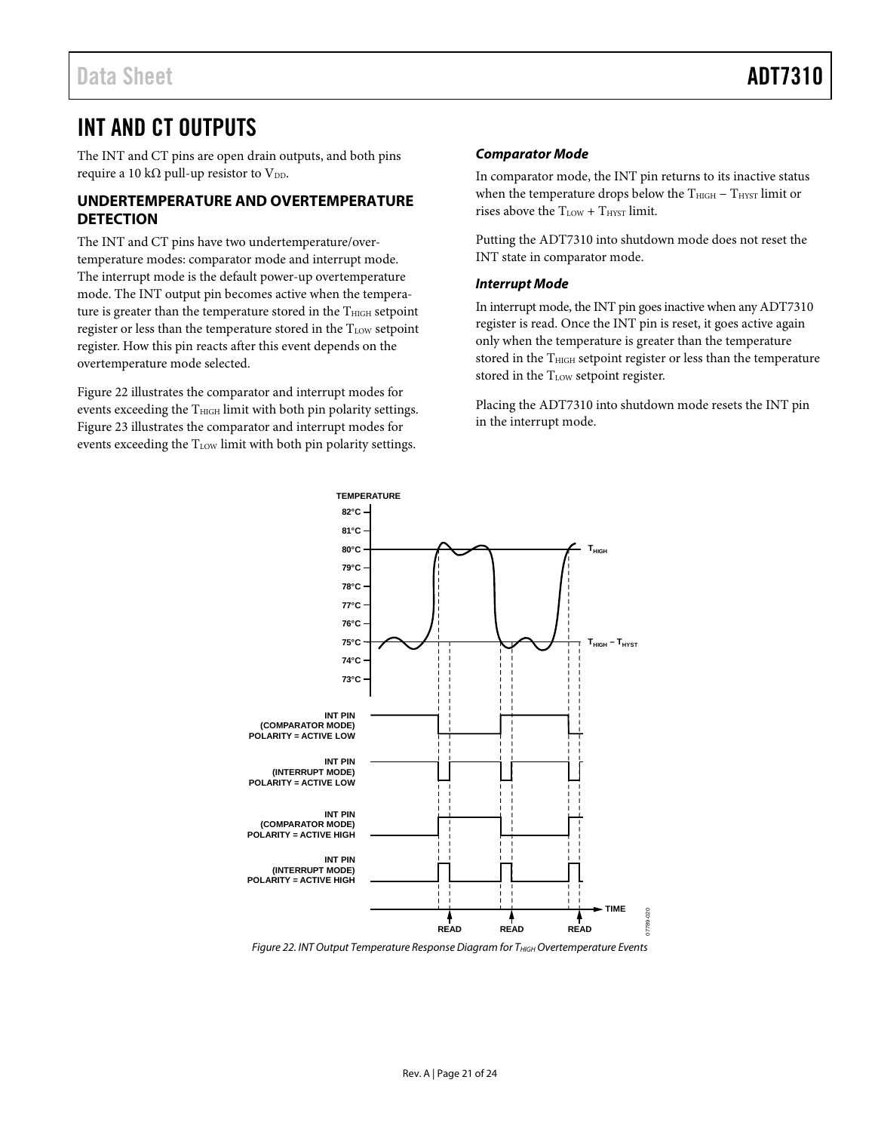## <span id="page-20-0"></span>INT AND CT OUTPUTS

The INT and CT pins are open drain outputs, and both pins require a 10 k $\Omega$  pull-up resistor to V<sub>DD</sub>.

#### <span id="page-20-1"></span>**UNDERTEMPERATURE AND OVERTEMPERATURE DETECTION**

The INT and CT pins have two undertemperature/overtemperature modes: comparator mode and interrupt mode. The interrupt mode is the default power-up overtemperature mode. The INT output pin becomes active when the temperature is greater than the temperature stored in the  $T<sub>HIGH</sub>$  setpoint register or less than the temperature stored in the TLOW setpoint register. How this pin reacts after this event depends on the overtemperature mode selected.

[Figure 22](#page-20-2) illustrates the comparator and interrupt modes for events exceeding the T<sub>HIGH</sub> limit with both pin polarity settings. [Figure 23](#page-21-0) illustrates the comparator and interrupt modes for events exceeding the  $T_{LOW}$  limit with both pin polarity settings.

#### *Comparator Mode*

In comparator mode, the INT pin returns to its inactive status when the temperature drops below the T<sub>HIGH</sub> − T<sub>HYST</sub> limit or rises above the  $T_{LOW} + T_{HYST}$  limit.

Putting the ADT7310 into shutdown mode does not reset the INT state in comparator mode.

#### *Interrupt Mode*

In interrupt mode, the INT pin goes inactive when any ADT7310 register is read. Once the INT pin is reset, it goes active again only when the temperature is greater than the temperature stored in the T<sub>HIGH</sub> setpoint register or less than the temperature stored in the T<sub>LOW</sub> setpoint register.

Placing the ADT7310 into shutdown mode resets the INT pin in the interrupt mode.



<span id="page-20-2"></span>*Figure 22. INT Output Temperature Response Diagram for THIGH Overtemperature Events*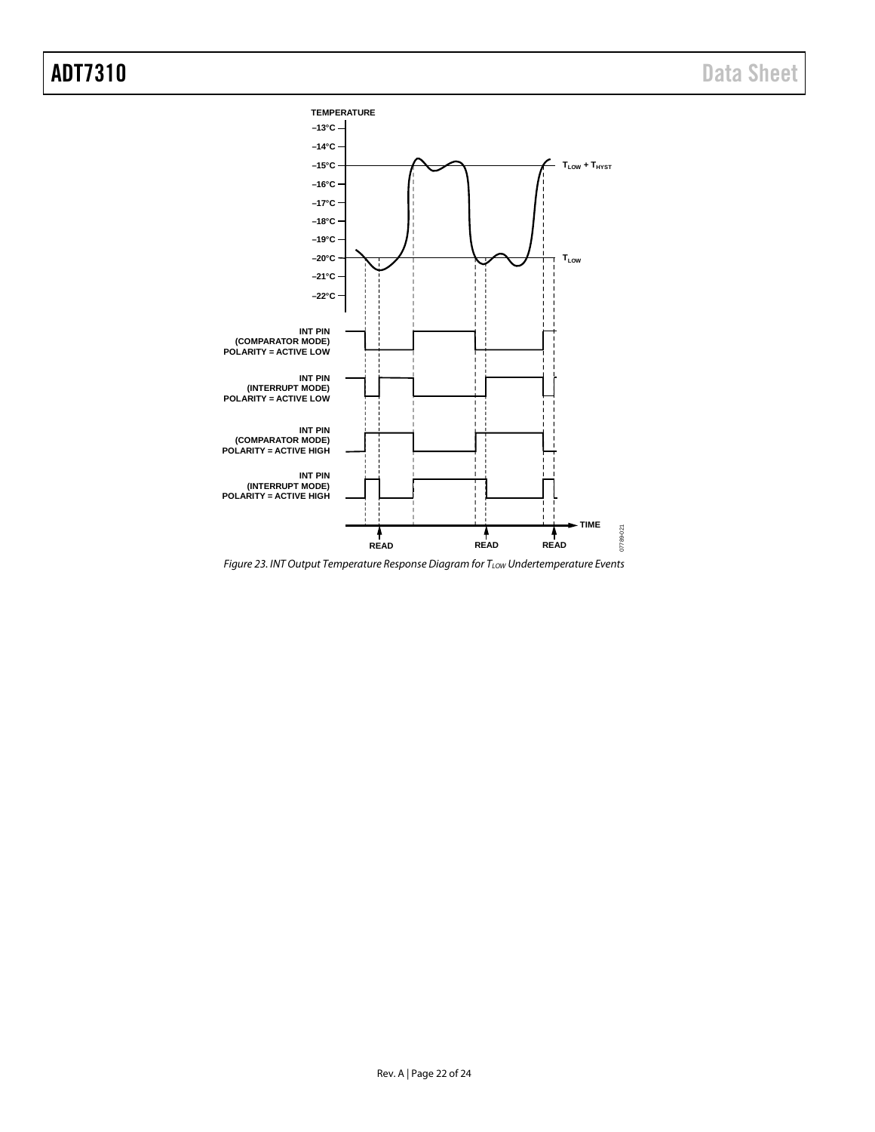

<span id="page-21-0"></span>*Figure 23. INT Output Temperature Response Diagram for TLOW Undertemperature Events*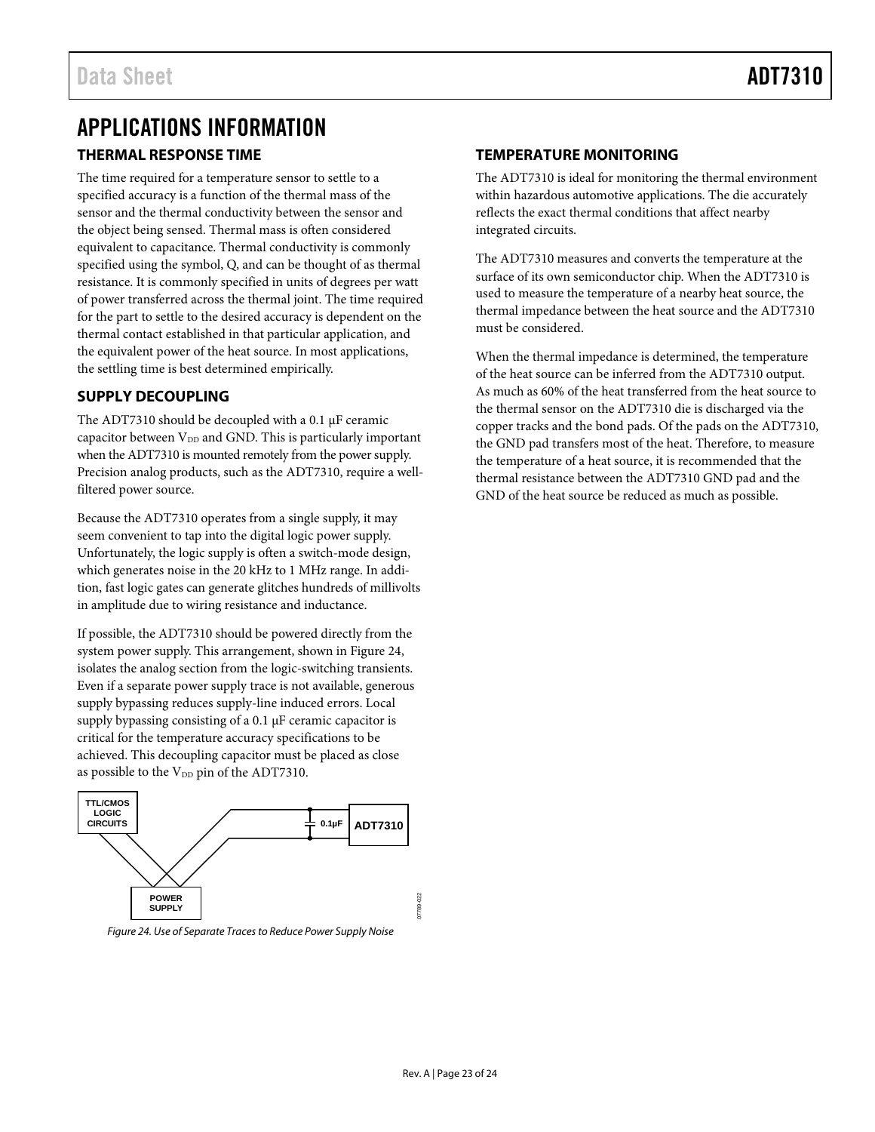# <span id="page-22-0"></span>APPLICATIONS INFORMATION

#### <span id="page-22-1"></span>**THERMAL RESPONSE TIME**

The time required for a temperature sensor to settle to a specified accuracy is a function of the thermal mass of the sensor and the thermal conductivity between the sensor and the object being sensed. Thermal mass is often considered equivalent to capacitance. Thermal conductivity is commonly specified using the symbol, Q, and can be thought of as thermal resistance. It is commonly specified in units of degrees per watt of power transferred across the thermal joint. The time required for the part to settle to the desired accuracy is dependent on the thermal contact established in that particular application, and the equivalent power of the heat source. In most applications, the settling time is best determined empirically.

#### <span id="page-22-2"></span>**SUPPLY DECOUPLING**

The ADT7310 should be decoupled with a 0.1 µF ceramic capacitor between  $V_{DD}$  and GND. This is particularly important when the ADT7310 is mounted remotely from the power supply. Precision analog products, such as the ADT7310, require a wellfiltered power source.

Because the ADT7310 operates from a single supply, it may seem convenient to tap into the digital logic power supply. Unfortunately, the logic supply is often a switch-mode design, which generates noise in the 20 kHz to 1 MHz range. In addition, fast logic gates can generate glitches hundreds of millivolts in amplitude due to wiring resistance and inductance.

If possible, the ADT7310 should be powered directly from the system power supply. This arrangement, shown i[n Figure 24,](#page-22-4)  isolates the analog section from the logic-switching transients. Even if a separate power supply trace is not available, generous supply bypassing reduces supply-line induced errors. Local supply bypassing consisting of a 0.1 µF ceramic capacitor is critical for the temperature accuracy specifications to be achieved. This decoupling capacitor must be placed as close as possible to the V<sub>DD</sub> pin of the ADT7310.



<span id="page-22-4"></span>*Figure 24. Use of Separate Traces to Reduce Power Supply Noise*

#### <span id="page-22-3"></span>**TEMPERATURE MONITORING**

The ADT7310 is ideal for monitoring the thermal environment within hazardous automotive applications. The die accurately reflects the exact thermal conditions that affect nearby integrated circuits.

The ADT7310 measures and converts the temperature at the surface of its own semiconductor chip. When the ADT7310 is used to measure the temperature of a nearby heat source, the thermal impedance between the heat source and the ADT7310 must be considered.

When the thermal impedance is determined, the temperature of the heat source can be inferred from the ADT7310 output. As much as 60% of the heat transferred from the heat source to the thermal sensor on the ADT7310 die is discharged via the copper tracks and the bond pads. Of the pads on the ADT7310, the GND pad transfers most of the heat. Therefore, to measure the temperature of a heat source, it is recommended that the thermal resistance between the ADT7310 GND pad and the GND of the heat source be reduced as much as possible.